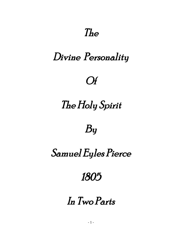## The

## Divine Personality

### Of

# The Holy Spirit

## By

# Samuel Eyles Pierce

## 1805

# In Two Parts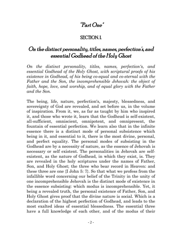#### "Part One"

#### SECTION. I.

#### On the distinct personality, titles, names, perfection's, and essential Godhead of the Holy Ghost

*On the distinct personality, titles, names, perfection's, and essential Godhead of the Holy Ghost, with scriptural proofs of his existence in Godhead, of his being co-equal and co-eternal with the Father and the Son, the incomprehensible Jehovah: the object of faith, hope, love, and worship, and of equal glory with the Father and the Son.*

The being, life, nature, perfection's, majesty, blessedness, and sovereignty of God are revealed, and set before us, in the volume of inspiration. From it, we, as far as taught by him who inspired it, and those who wrote it, learn that the Godhead is self-existent, all-sufficient, omniscient, omnipotent, and omnipresent, the fountain of essential perfection. We learn also that in the infinite essence there is a distinct mode of personal subsistence which being in it, and essential to it, there is the most divine, personal, and perfect equality. The personal modes of subsisting in the Godhead are by a necessity of nature, as the essence of Jehovah is necessary or self existent. The personalities in Jehovah are selfexistent, as the nature of Godhead, in which they exist, is. They are revealed in the holy scriptures under the names of Father, Son, and Holy Ghost; the three who bear record in Heaven: and these three are one {I John 5: 7}. So that what we profess from the infallible word concerning our belief of the Trinity in the unity of one incomprehensible Jehovah is the distinct mode of existence in the essence subsisting: which modus is incomprehensible. Yet, it being a revealed truth, the personal existence of Father, Son, and Holy Ghost gives proof that the divine nature is social. Which is a declaration of the highest perfection of Godhead, and leads to the most exalted ideas of essential blessedness. The essential three have a full knowledge of each other, and of the modus of their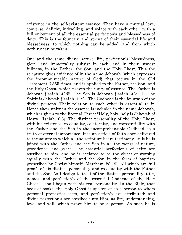existence in the self-existent essence. They have a mutual love, converse, delight, indwelling, and solace with each other; with a full enjoyment of all the essential perfection's and blessedness of deity. This is the fountain and spring of their essential life and blessedness, to which nothing can be added, and from which nothing can be taken.

One and the same divine nature, life, perfection's, blessedness, glory, and immortality subsist in each, and in their utmost fullness, in the Father, the Son, and the Holy Ghost. This the scripture gives evidence of in the name Jehovah {which expresses the incommunicable nature of God} that occurs in the Old Testament 6,855 times, and is applied to the Father, the Son, and the Holy Ghost: which proves the unity of essence. The Father is Jehovah {Isaiah. 42:5}. The Son is Jehovah {Isaiah. 43: 11}. The Spirit is Jehovah {Isaiah. 11:2}. The Godhead is the fountain of the divine persons. Their relation to each other is essential to it. Hence their unity in the essence is included in the name Jehovah, which is given to the Eternal Three: "Holy, holy, holy is Jehovah of Hosts" {Isaiah. 6:3}. The distinct personality of the Holy Ghost, with his existence, co-equality, co-eternity, and coessentiality with the Father and the Son in the incomprehensible Godhead, is a truth of eternal importance. It is an article of faith once delivered to the saints: to which all the scripture bears testimony. In it he is joined with the Father and the Son in all the works of nature, providence, and grace. The essential perfection's of deity are ascribed to him, and he is declared to be the object of worship equally with the Father and the Son in the form of baptism prescribed by Christ himself {Matthew. 28:19}. All which are full proofs of his distinct personality and co-equality with the Father and the Son. As I design to treat of the distinct personality, title, names, and perfection's of the essential Godhead of the Holy Ghost, I shall begin with his real personality. In the Bible, that book of books, the Holy Ghost is spoken of as a person to whom personal properties, acts, and perfection's are attributed: and divine perfection's are ascribed unto Him, as life, understanding, love, and will; which prove him to be a person. As such he is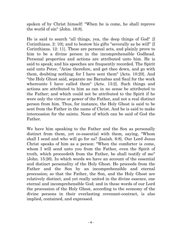spoken of by Christ himself: "When he is come, he shall reprove the world of sin" {John. 16:8}.

He is said to search "all things, yea, the deep things of God" {I Corinthians. 2: 10}; and to bestow his gifts "severally as he will" {I Corinthians. 12: 11}. These are personal acts, and plainly prove to him to be a divine person in the incomprehensible Godhead. Personal properties and actions are attributed unto him. He is said to speak; and his speeches are frequently recorded. The Spirit said unto Peter, "Arise therefore, and get thee down, and go with them, doubting nothing; for I have sent them" {Acts. 10:20}. And "the Holy Ghost said, separate me Barnabas and Saul for the work whereunto I have called them" {Acts. 13:2}. Such things and actions are attributed to him as can in no sense be attributed to the Father; and which could not be attributed to the Spirit if he were only the virtue or power of the Father, and not a real distinct person from him. Thus, for instance, the Holy Ghost is said to be sent from the Father in the name of Christ. And he is said to make intercession for the saints. None of which can be said of God the Father.

We have him speaking to the Father and the Son as personally distinct from them, yet co-essential with them, saying, "Whom shall I send and who will go for us? {Isaiah. 6:8}. Our Lord Jesus Christ speaks of him as a person: "When the comforter is come, whom I will send unto you from the Father, even the Spirit of truth, which proceedeth from the Father, be shall testify of me" {John. 15:26}. In which words we have an account of the essential and distinct personality of the Holy Ghost. He proceeds from the Father and the Son by an incomprehensible and eternal procession; so that the Father, the Son, and the Holy Ghost are relatively distinct, and yet really united in the divine essence, one eternal and incomprehensible God; and in these words of our Lord the procession of the Holy Ghost, according to the economy of the divine persons in their everlasting covenant-contract, is also implied, contained, and expressed.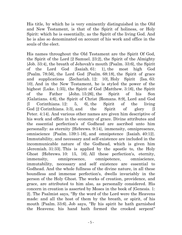His title, by which he is very eminently distinguished in the Old and New Testament, is that of the Spirit of holiness, or Holy Spirit: which he is essentially, as the Spirit of the living God. And he is also so denominated on account of his work and office in the souls of the elect.

His names throughout the Old Testament are the Spirit Of God, the Spirit of the Lord {2 Samuel. 23:2}, the Spirit of the Almighty {Job. 33:4}, the breath of Jehovah's mouth {Psalm. 33:6}, the Spirit of the Lord God {Isaiah. 61: 1}, the most high God {Psalm. 78:56}, the Lord God {Psalm. 68:18}, the Spirit of grace and supplications {Zechariah. 12: 10}, Holy Spirit {Isa. 63: 10}. And in the New Testament, he is styled the power of the highest {Luke. 1:35}, the Spirit of God {Matthew. 3:16}, the Spirit of the Father {John. 15:26}, the Spirit of his Son {Galatians. 4:6}, the Spirit of Christ {Romans. 8:9}, Lord and God {I Corinthians. 12: 5, 6}, the Spirit of the living God  $\{2$  Corinthians. 3:3, and the Spirit of glory  $\{I\}$ Peter. 4:14}. And various other names are given him descriptive of his work and office in the economy of grace. Divine attributes and the essential perfection's of Godhead are ascribed unto him personally: as eternity {Hebrews. 9:14}, immensity, omnipresence, omniscience {Psalm. 139:1-16}, and omnipotence {Isaiah. 40:12}. Immutability, and necessary and self-existence are included in the incommunicable nature of the Godhead, which is given him {Jeremiah. 31:33}. This is applied by the apostle to, the Holy Ghost {Hebrews. 10: 15, 16}. All these perfection's, eternity, immensity, omnipresence, omnipotence, omniscience, immutability, necessary and self existence are essential to Godhead. And the whole fullness of the divine nature, in all these boundless and immense perfection's, dwells invariably in the person of the Holy Ghost. The works of creation, providence, and grace, are attributed to him also, as personally considered. His concern in creation is asserted by Moses in the book of {Genesis. 1: 2}. The Psalmist says, "By the word of the Lord were the Heavens made: and all the host of them by the breath, or spirit, of his mouth {Psalm. 33:6}. Job says, "By his spirit he hath garnished the Heavens; his hand hath formed the crooked serpent"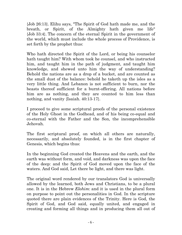{Job 26:13}. Elihu says, "The Spirit of God hath made me, and the breath, or Spirit, of the Almighty hath given me life" {Job 33:4}. The concern of the eternal Spirit in the government of the world, which must include the whole process of Providence, is set forth by the prophet thus:

Who hath directed the Spirit of the Lord, or being his counselor hath taught him? With whom took he counsel, and who instructed him, and taught him in the path of judgment, and taught him knowledge, and shewed unto him the way of understanding? Behold the nations are as a drop of a bucket, and are counted as the small dust of the balance: behold he taketh up the isles as a very little thing. And Lebanon is not sufficient to burn, nor the beasts thereof sufficient for a burnt-offering. All nations before him are as nothing, and they are counted to him less than nothing, and vanity {Isaiah. 40:13-17}.

I proceed to give some scriptural proofs of the personal existence of the Holy Ghost in the Godhead, and of his being co-equal and co-eternal with the Father and the Son, the incomprehensible Jehovah.

The first scriptural proof, on which all others are naturally, necessarily, and absolutely founded, is in the first chapter of Genesis, which begins thus:

In the beginning God created the Heavens and the earth, and the earth was without form, and void, and darkness was upon the face of the deep: and the Spirit of God moved upon the face of the waters. And God said, Let there be light, and there was light.

The original word rendered by our translators God is universally allowed by the learned, both Jews and Christians, to be a plural one. It is in the Hebrew *Elohim*: and it is used in the plural form on purpose to point out the personalities in God. In the scripture quoted there are plain evidences of the Trinity. Here is God, the Spirit of God, and God said, equally united, and engaged in creating and forming all things and in producing them all out of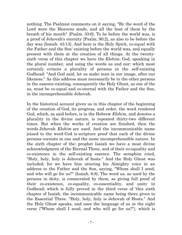nothing. The Psalmist comments on it saying, "By the word of the Lord were the Heavens made, and all the host of them by the breath of his mouth" {Psalm. 33:6}. To be before the world was, is a proof of Jehovah's eternity {Psalm. 90:2}, as also to be before the day was {Isaiah. 43:13}. And here is the Holy Spirit, co-equal with the Father and the Son' existing before the world was, and equally present with them at the creation of all things. At the twentysixth verse of this chapter we have the *Elohim*, God, speaking in the plural number, and using the words us and our: which most certainly evinces a plurality of persons in the self-existing Godhead: "And God said, let us make man in our image, after our likeness." As this address must necessarily be to the other persons in the essence-existing, consequently the Holy Ghost, as one of the us, must be co-equal and co-eternal with the Father and the Son, in the incomprehensible Jehovah.

In the historical account given us in this chapter of the beginning of the creation of God, its progress, and order, the word rendered God, which, as said before, is in the Hebrew *Elohim*, and denotes a plurality in the divine nature, is repeated thirty-two different times. But when the works of creation are finished, then the words Jehovah *Elohim* are used. And the incommunicable name joined to the word God is scripture proof that each of the divine persons coexists in one and the same incomprehensible nature. In the sixth chapter of the: prophet Isaiah we have a most divine acknowledgment of the Eternal Three, and of their co-equality and co-existence in the self-existing essence. The seraphim cried, "Holy, holy, holy is Jehovah of hosts." And the Holy Ghost was included; for we have him uttering his Almighty voice in an address to the Father and the Son, saying, "Whom shall I send, and who will go for us?" {Isaiah. 6:8}. The word us, as used by the persons in deity, is consecrated by them, as giving full proof of their co-existence, co-equality, co-essentiality, and unity in Godhead; which is fully proved in the third verse of 'this sixth chapter of Isaiah, the incommunicable name being there given to the Essential Three. "Holy, holy, holy is Jehovah of Hosts." And the Holy Ghost speaks, and uses the language of us in the eight verse {"Whom shall I send, and who will go for us?"}, which is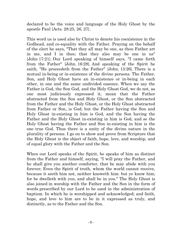declared to be the voice and language of the Holy Ghost by the apostle Paul {Acts. 28:25, 26, 27}.

This word us is used also by Christ to denote his coexistence in the Godhead, and co-equality with the Father. Praying on the behalf of the elect he says, "That they all may be one, as thou Father art in me, and I in thee; that they also may be one in us" {John 17:21}. Our Lord speaking of himself says, "I came forth from the Father" {John. 16:28}. And speaking of the Spirit he saith, "He proceedeth from the Father" {John. 15:26}. There is a mutual in-being or in-existence of the divine persons. The Father, Son, and Holy Ghost have an in-existence or in-being in each other, in one and the same undivided essence. When we say the Father is God, the Son God, and the Holy Ghost God, we do not, as one most judiciously expressed it, mean that the Father abstracted from the Son and Holy Ghost, or the Son abstracted from the Father and the Holy Ghost, or the Holy Ghost abstracted from Father or Son, is God; but the Father having the Son and Holy Ghost in-existing in him is God, and the Son having the Father and the Holy Ghost in-existing in him is God, and so the Holy Ghost having the Father and Son in-existing in him is the one true God. Thus there is a unity of the divine nature in the plurality of persons. I go on to show and prove from Scripture that the Holy Ghost is the object of faith, hope, love, and worship, and of equal glory with the Father and the Son.

When our Lord speaks of the Spirit, be speaks of him as distinct from the Father and himself, saying, "I will pray the Father, and he shall give you another comforter, that be may abide with you forever; Even the Spirit of truth, whom the world cannot receive, because it seeth him not, neither knoweth him: but ye know him; for be dwelleth with you, and shall be in you." The Holy Ghost is also joined in worship with the Father and the Son in the form of words prescribed by our Lord to be used in the administration of baptism. In which he is worshipped and acknowledged; and faith, hope, and love to him are to be in it expressed as truly, and distinctly, as to the Father and the Son.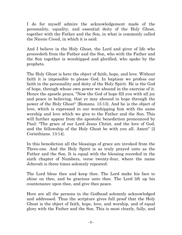I do for myself admire the acknowledgement made of the personality, equality, and essential deity of the Holy Ghost, together with the Father and the Son, in what is commonly called the Nicene Creed, in which it is said:

And I believe in the Holy Ghost, the Lord and giver of life who proceedeth from the Father and the Son, who with the Father and the Son together is worshipped and glorified, who spake by the prophets.

The Holy Ghost is here the object of faith, hope, and love. Without faith it is impossible to please God. In baptism we profess our faith in the personality and deity of the Holy Spirit. He is the God of hope, through whose own power we abound in the exercise of it. Hence the apostle prays, "Now the God of hope fill you with all joy and peace in believing, that ye may abound in hope through the power of the Holy Ghost" {Romans. 15:13}. And he is the object of love, which is expressed in our worshipping him with the same worship and love which we give to the Father and the Son. This will further appear from the apostolic benediction pronounced by Paul: "The grace of our Lord Jesus Christ, and the love of God, and the fellowship of the Holy Ghost be with you all. Amen" {2 Corinthians. 13:14}.

In this benediction all the blessings of grace are invoked from the Three-one. And the Holy Spirit is as truly prayed unto as the Father and the Son. It is equal with the blessing recorded in the sixth chapter of Numbers, verse twenty-four, where the name Jehovah is three times solemnly repeated:

The Lord bless thee and keep thee. The Lord make his face to shine on thee, and be gracious unto thee. The Lord lift up his countenance upon thee, and give thee peace.

Here are all the persons in the Godhead solemnly acknowledged and addressed. Thus the scripture gives full proof that the Holy Ghost is the object of faith, hope, love, and worship, and of equal glory with the Father and the Son. This is most clearly, fully, and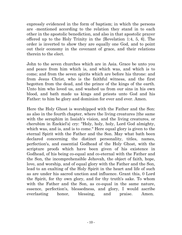expressly evidenced in the form of baptism; in which the persons are -mentioned according to the relation they stand in to each other in the apostolic benediction, and also in that apostolic prayer offered up to the Holy Trinity in the {Revelation 1:4, 5, 6}. The order is inverted to show they are equally one God, and to point out their economy in the covenant of grace, and their relations therein to the elect.

John to the seven churches which are in Asia. Grace be unto you and peace from him which is, and which was, and which is to come; and from the seven spirits which are before his throne: and from Jesus Christ, who is the faithful witness, and the first begotten from the dead, and the prince of the kings of the earth. Unto him who loved us, and washed us from our sins in his own blood, and bath made us kings and priests unto God and his Father: to him be glory and dominion for ever and ever. Amen.

Here the Holy Ghost is worshipped with the Father and the Son: as also in the fourth chapter, where the living creatures {the same with the seraphim in Isaiah's vision, and the living creatures, or cherubim in Ezekiel's} cry: "Holy, holy, holy, Lord God almighty, which was, and is, and is to come." Here equal glory is given to the eternal Spirit with the Father and the Son. May what bath been declared concerning the distinct personality, titles, names, perfection's, and essential Godhead of the Holy Ghost, with the scripture proofs which have been given of his existence in Godhead, of his being co-equal and co-eternal with the Father and the Son, the incomprehensible Jehovah, the object of faith, hope, love, and worship, and of equal glory with the Father and the Son, lead to an exalting of the Holy Spirit in the heart and life of such as are under his sacred unction and influence. Grant this, 0 Lord the Spirit, for thy own glory, and for thy truth's sake. To whom with the Father and the Son, as co-equal in the same nature, essence, perfection's, blessedness, and glory, I would ascribe everlasting honor, blessing, and praise. Amen.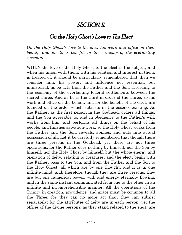#### SECTION. II.

#### On the Holy Ghost's Love to The Elect

*On the Holy Ghost's love to the elect his work and office on their behalf, and for their benefit, in the economy of the everlasting covenant.*

WHEN the love of the Holy Ghost to the elect is the subject; and when his union with them, with his relation and interest in them, is treated of, it should be particularly remembered that then we consider him, his power, and influence not essential, but ministerial, as be acts from the Father and the Son, according to the economy of the everlasting federal settlements between the sacred Three. And as he is the third in order of the Three, so his work and office on the behalf, and for the benefit of the elect, are founded on the order which subsists in the essence-existing. As the Father, as the first person in the Godhead, orders all things, and the Son agreeable to, and in obedience to the Father's will, works from him, and performs all things on the behalf of his people, and finishes salvation-work; so the Holy Ghost works from the Father and the Son, reveals, applies, and puts into actual possession of all. Let it be carefully remembered that though there are three persons in the Godhead, yet there are not three operations; for the Father does nothing by himself, nor the Son by himself, nor the Holy Ghost by himself; but the whole energy and operation of deity, relating to creatures, and the elect, begin with the Father, pass to the Son, and from the Father and the Son to the Holy Ghost: all which are by one thought, and it is in one infinite mind; and, therefore, though they are three persons, they are but one numerical power, will, and energy eternally flowing, and in the same instant communicated from one to the other in an infinite and incomprehensible manner. All the operations of the Trinity in creation, providence, and grace must be common to all the Three; for they can no more act than they can subsist separately: for the attributes of deity are in each person, yet the offices of the divine persons, as they stand related to the elect, are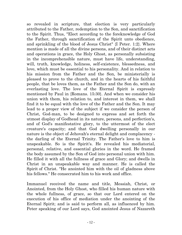so revealed in scripture, that election is very particularly attributed to the Father, redemption to the Son, and sanctification to the Spirit. Thus, "Elect according to the foreknowledge of God the Father, through sanctification of the Spirit unto obedience, and sprinkling of the blood of Jesus Christ" {I Peter. 1:2}. Where mention is made of all the divine persons, and of their distinct acts and operations in grace, the Holy Ghost, as personally subsisting in the incomprehensible nature, must have life, understanding, will, truth, knowledge, holiness, self-existence, blessedness, and love, which must be essential to his personality. And in relation to his mission from the Father and the Son, be ministerially is pleased to prove to the church, and in the hearts of his faithful people, that be loves them, as the Father and the Son do, with an everlasting love. The love of the Eternal Spirit is expressly mentioned by Paul in {Romans. 15:30}. And when we consider his union with them, his relation to, and interest in them, we shall find it to be equal with the love of the Father and the Son. It may lead to a proper view of the subject if we consider the person of Christ, God-man, to be designed to express and set forth the utmost display of Godhead in its nature, persons, and perfection's, and of God's manifestative glory, to the uttermost of the elect creature's capacity; and that God dwelling personally in our nature is the object of Jehovah's eternal delight and complacency the darling of the Eternal Trinity. The Father's love to him is unspeakable. So is the Spirit's. He revealed his mediatorial, personal, relative, and essential glories in the word. He framed the body assumed by the Son of God into personal union with him. He filled it with all the fullness of grace and Glory; and dwells in Christ in an unspeakable way and manner. He is called the Spirit of Christ. "He anointed him with the oil of gladness above his fellows." He consecrated him to his work and office.

Immanuel received the name and title, Messiah, Christ, or Anointed, from the Holy Ghost, who filled his human nature with the whole fullness, of grace, so that our Lord entered on the execution of his office of mediation under the anointing of the Eternal Spirit; and is said to perform all, as influenced by him. Peter speaking of our Lord says, God anointed Jesus of Nazareth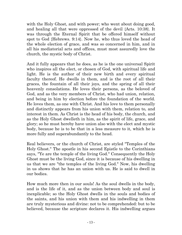with the Holy Ghost, and with power; who went about doing good, and healing all that were oppressed of the devil {Acts. 10:38}. It was through the Eternal Spirit that be offered himself without spot to God {Hebrews. 9:14}. Now he, who thus loved the head of the whole election of grace, and was so concerned in him, and in all his mediatorial acts and offices, must most assuredly love the church, the mystic body of Christ.

And it fully appears that he does, as he is the one universal Spirit who inspires all the elect, or chosen of God, with spiritual life and light. He is the author of their new birth and every spiritual faculty thereof. He dwells in them, and is the root of all their graces, the fountain of all their joys, and the spring of all their heavenly consolations. He loves their persons, as the beloved of God, and as the very members of Christ, who had union, relation, and being in him by election before the foundation of the world. He loves them, as one with Christ. And his love to them personally and distinctly appears from his union with them, relation to, and interest in them. As Christ is the head of his body, the church, and as the Holy Ghost dwelleth in him, as the spirit of life, grace, and glory; so he must hereby have union also with the elect and mystic body, because he is to be that in a less measure to it, which he is more fully and superabundantly to the head.

Real believers, or the church of Christ, are styled "Temples of the Holy Ghost." The apostle in his second Epistle to the Corinthians says, "Ye are the temple of the living God." Consequently the Holy Ghost must be the living God, since it is because of his dwelling in us that we are "the temples of the living God." Now, his dwelling in us shows that he has an union with us. He is said to dwell in our bodies.

How much more then in our souls! As the soul dwells in the body, and is the life of it, and as the union between body and soul is inexplicable; so the Holy Ghost dwells in the souls and bodies of the saints, and his union with them and his indwelling in them are truly mysterious and divine: not to be comprehended: but to be believed, because the scripture declares it. His indwelling argues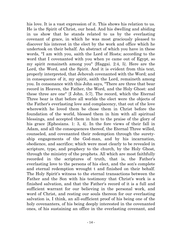his love. It is a vast expression of it. This shows his relation to us. He is the Spirit of Christ, our head. And his dwelling and abiding in us show that he stands related to us by the everlasting covenant of grace, in which he was most graciously pleased to discover his interest in the elect by the work and office which he undertook on their behalf. An abstract of which you have in these words, "I am with you, saith the Lord of Hosts; according to the word that I covenanted with you when ye came out of Egypt, so my spirit remaineth among you" {Haggai. 2:4, 5}. Here are the Lord, the Word, and the Spirit. And it is evident from this text, properly interpreted, that Jehovah covenanted with the Word; and in consequence of it, my spirit, saith the Lord, remaineth among you. In consonance with this John says, "There are three that bear record in Heaven, the Father, the Word, and the Holy Ghost: and these three are one" {I John. 5:7}. The record, which the Eternal Three bear is that before all worlds the elect were the objects of the Father's everlasting love and complacency, that out of the love wherewith he loved them be chose them in Christ before the foundation of the world, blessed them in him with all spiritual blessings, and accepted them in him to the praise of the glory of his grace {Ephesians. 1: 3, 4}. In the fore views of their fall in Adam, and all the consequences thereof, the Eternal Three willed, counseled, and covenanted their redemption through the suretyship engagements of the God-man, and by his incarnation, obedience, and sacrifice; which were most clearly to be revealed in scripture, type, and prophecy to the church, by the Holy Ghost, through the ministry of the prophets. All which are most faithfully recorded in the scriptures of truth, that is, the Father's everlasting love to the persons of his elect, and the son's complete and eternal redemption wrought t and finished on their behalf. The Holy Spirit's witness to the eternal transactions between the Father and the Son with his testimony that Christ's work is a finished salvation, and that the Father's record of it is a full and sufficient warrant for our believing in the personal work, and word of Christ, and resting our souls thereon for our everlasting salvation is, I think, an all-sufficient proof of his being one of the holy covenanters, of his being deeply interested in the covenanted ones, of his sustaining an office in the everlasting covenant, and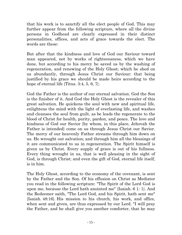that his work is to sanctify all the elect people of God. This may further appear from the following scripture, where all the divine persons in Godhead are clearly expressed in their distinct personalities, offices, and acts of grace towards the elect. The words are these:

But after that the kindness and love of God our Saviour toward man appeared, not by works of righteousness, which we have done, but according to his mercy he saved us by the washing of regeneration, and renewing of the Holy Ghost; which he shed on us abundantly, through Jesus Christ our Saviour: that being justified by his grace we should be made heirs according to the hope of eternal life {Titus. 3:4, 5, 6, 7}.

God the Father is the author of our eternal salvation. God the Son is the finisher of it. And God the Holy Ghost is the revealer of this great salvation. He quickens the soul with new and spiritual life, enlightens the mind with the light of everlasting life, and washes and cleanses the soul from guilt, as be leads the regenerate to the blood of Christ for health, purity, pardon, and peace. The love and kindness of God our Savior {by whom, in this place, Jehovah the Father is intended} come on us through Jesus Christ our Savior. The mercy of our heavenly Father streams through him down on us. He wrought out salvation; and through him all the blessings of it are communicated to us in regeneration. The Spirit himself is given us by Christ. Every supply of grace is out of his fullness. Every thing wrought in us, that is well pleasing in the sight of God, is through Christ; and even the gift of God, eternal life itself, is in him.

The Holy Ghost, according to the economy of the covenant, is sent by the Father and the Son. Of his effusion on Christ as Mediator you read in the following scripture: "The Spirit of the Lord God is upon me, because the Lord hath anointed me" {Isaiah. 6 1: 1}. And the Redeemer saith, "The Lord God, and his Spirit, hath sent me" {Isaiah. 48:16}. His mission to his church, his work, and office, when sent and given, are thus expressed by our Lord. "I will pray the Father, and he shall give you another comforter, that he may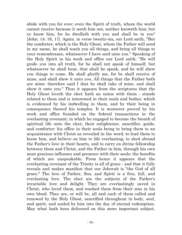abide with you for ever; even the Spirit of truth, whom the world cannot receive because it seeth him not, neither knoweth him; but ye know him, for he dwelleth with you and shall be in you" {John. 14: 16, 17}. Again, in verse twenty-six, our Lord saith, "But the comforter, which is the Holy Ghost, whom the Father will send in my name, he shall teach you all things, and bring all things to your remembrance, whatsoever I have said unto you." Speaking of the Holy Spirit in his work and office our Lord saith, "He will guide you into all truth, for he shall not speak of himself, but whatsoever he shall hear, that shall he speak, and he will shew you things to come. He shall glorify me, for be shall receive of mine, and shall shew it unto you. All things that the Father bath are mine: therefore said I that he shall take of mine, and shall shew it unto you." Thus it appears from the scriptures that the Holy Ghost loveth the elect hath an union with them - stands related to them and is interested in their souls and bodies; which is evidenced by his indwelling in them, and by their being in consequence thereof his temples. It is moreover proved by his work and office founded on the federal transactions in the everlasting covenant; in which he engaged to become the breath of spiritual life unto the elect, their enlightener, sanctifier, guide, and comforter: his office in their souls being to bring them to an acquaintance with Christ as revealed in the word, to lead them to know him, and believe on him to life everlasting, to shed abroad the Father's love in their hearts, and to carry on divine fellowship between them and Christ, and the Father in him, through his own most gracious influence and presence with their souls: the benefits of which are unspeakable. From hence it appears that the everlasting covenant of the Trinity is all of grace - and that it fully reveals and makes manifest that our Jehovah is "the God of all grace." The love of Father, Son, and Spirit is a free, full, and everlasting love. The elect are the subjects of the Father's invariable love and delight. They are everlastingly saved in Christ, who loved them, and washed them from their sins in his own blood. They are, or will be, all and each of them called and renewed by the Holy Ghost, sanctified throughout in body, soul, and spirit, and sealed by him into the day of eternal redemption. May what hath been delivered on this more important subject,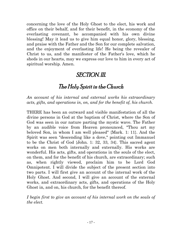concerning the love of the Holy Ghost to the elect, his work and office on their behalf, and for their benefit, in the economy of the everlasting covenant, be accompanied with his own divine blessing! May it lead us to give him equal honor, glory, blessing, and praise with the Father and the Son for our complete salvation, and the enjoyment of everlasting life! He being the revealer of Christ to us, and the manifester of the Father's love, which he sheds in our hearts, may we express our love to him in every act of spiritual worship. Amen.

#### SECTION. III.

#### The Holy Spirit in the Church

*An account of his internal and external works his extraordinary acts, gifts, and operations in, on, and for the benefit of, his church.*

THERE has been an outward and visible manifestation of all the divine persons in God at the baptism of Christ, where the Son of God was seen in our nature parting the mystic wave. The Father by an audible voice from Heaven pronounced, "Thou art my beloved Son, in whom I am well pleased" {Mark. 1: 11}. And the Spirit was seen "descending like a dove," pointing out Immanuel to be the Christ of God {John. 1: 32, 33, 34}. This sacred agent works on men both internally and externally. His works are wonderful. His acts, gifts, and operations in the souls of the elect, on them, and for the benefit of his church, are extraordinary; such as, when rightly viewed, proclaim him to be Lord God Omnipotent. I will divide the subject of the present section into two parts. I will first give an account of the internal work of the Holy Ghost. And second, I will give an account of the external works, and extraordinary acts, gifts, and operations of the Holy Ghost in, and on, his church, for the benefit thereof.

*I begin first to give an account of his internal work on the souls of the elect.*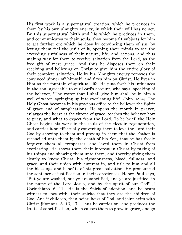His first work is a supernatural creation, which he produces in them by his own almighty energy, in which their will has no act. By this supernatural birth and life which he produces in them, and communicates to their souls, they become fit subjects for him to act further on: which he does by convincing them of sin, by letting them feel the guilt of it, opening their minds to see the exceeding sinfulness of their nature, life, and actions, and thus making way for them to receive salvation from the Lord, as the free gift of mere grace. And thus he disposes them on their receiving and believing on Christ to give him the entire glory of their complete salvation. He by his Almighty energy removes the convinced sinner off himself, and fixes him on Christ. He lives in Him as the fountain of spiritual life. He puts forth his influences in the soul agreeable to our Lord's account, who says, speaking of the believer, "The water that I shall give him shall be in him a well of water, springing up into everlasting life" {John. 4:14}. The Holy Ghost becomes in his gracious office to the believer the Spirit of grace and of supplications. He opens the mouth in prayer, enlarges the heart at the throne of grace, teaches the believer how to pray, and what to expect from the Lord. To be brief, the Holy Ghost begins his work in the souls of the elect in regeneration, and carries it on effectually converting them to love the Lord their God by showing to them and proving in them that the Father is reconciled unto them by the death of his Son, that be has freely forgiven them all trespasses, and loved them in Christ from everlasting. He shows them their interest in Christ by taking of his things and showing them unto them, and thereby giving them clearly to know Christ, his righteousness, blood, fullness, and grace, and their union with, interest in, and title to him and all the blessings and benefits of his great salvation. He pronounced the sentence of justification in their consciences. Hence Paul says, "But ye are washed, but ye are sanctified, and ye are justified, in the name of the Lord Jesus, and by the spirit of our God" {I Corinthians. 6: 11}. He is the Spirit of adoption, and be bears witness to {not with} their spirits that they are the children of God. And if children, then heirs; heirs of God, and joint heirs with Christ {Romans. 8: 16, 17}. Thus he carries on, and produces the fruits of sanctification, which causes them to grow in grace, and go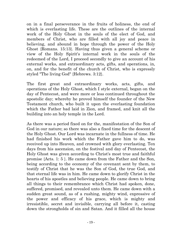on in a final perseverance in the fruits of holiness, the end of which is everlasting life. These are the outlines of the internal work of the Holy Ghost in the souls of the elect of God, and members of Christ, who are filled with all joy and peace in believing, and abound in hope through the power of the Holy Ghost {Romans. 15:13}. Having thus given a general scheme or view of the Holy Spirit's internal work in the souls of the redeemed of the Lord, I proceed secondly to give an account of his external works, and extraordinary acts, gifts, and operations, in, on, and for the benefit of the church of Christ, who is expressly styled "The living God" {Hebrews. 3:12}.

The first great and extraordinary works, acts, gifts, and operations of the Holy Ghost, which I style external, began on the day of Pentecost, and were more or less continued throughout the apostolic day; whereby he proved himself the founder of the New Testament church, who built it upon the everlasting foundation which the Father bad laid in Zion, and framed, and knit all the building into an holy temple in the Lord.

As there was a period fixed on for the, manifestation of the Son of God in our nature; so there was also a fixed time for the descent of the Holy Ghost. Our Lord was incarnate in the fullness of time. He had finished his work which the Father gave him to do, was received up into Heaven, and crowned with glory everlasting. Ten days from his ascension, on the festival and day of Pentecost, the Holy Ghost was given according to Christ's most true and faithful promise {Acts. 1: 5 }. He came down from the Father and the Son, being according to the economy of the covenant sent by them, to testify of Christ that he was the Son of God, the true God, and that eternal life was in him. He came down to glorify Christ in the hearts of his apostles and believing people. He came down to bring all things to their remembrance which Christ had spoken, done, suffered, promised, and revealed unto them. He came down with a sudden great sound, as of a rushing, mighty wind, expressive of the power and efficacy of his grace, which is mighty and irresistible, secret and invisible, carrying all before it, casting down the strongholds of sin and Satan. And it filled all the house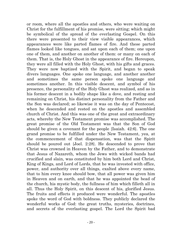or room, where all the apostles and others, who were waiting on Christ for the fulfillment of his promise, were sitting; which might be symbolical of the spread of the everlasting Gospel. On this there were presented to their view visible appearances, which appearances were like parted flames of fire. And these parted flames looked like tongues, and sat upon each of them; one upon one of them, and another on another of them: or many on each of them. That is, the Holy Ghost in the appearance of fire. Hereupon, they were all filled with the Holy Ghost, with his gifts and graces. They were now baptized with the Spirit, and began to speak divers languages. One spoke one language, and another another and sometimes the same person spoke one language and sometimes another. In this visible descent, and symbol of his presence, the personality of the Holy Ghost was realized, and as in his former descent in a bodily shape like a dove, and resting and remaining on Christ, his distinct personality from the Father and the Son was declared; so likewise it was on the day of Pentecost, when he descended and rested on the apostles and assembled church of Christ. And this was one of the great and extraordinary acts, whereby the New Testament promise was accomplished. The great promise of the Old Testament was that the Son of God should be given a covenant for the people {Isaiah. 42:6}. The one grand promise to be fulfilled under the New Testament, yea, at the commencement of that dispensation, was that the Spirit should be poured out {Joel. 2:28}. He descended to prove that Christ was crowned in Heaven by the Father, and to demonstrate that Jesus of Nazareth, whom the Jews with wicked bands had crucified and slain, was constituted by him both Lord and Christ, King of Kings, and Lord of Lords, that he was invested with office, power, and authority over all things, exalted above every name, that to him every knee should bow, that all power was given him in Heaven and on earth, and that he was appointed the bead of the church, his mystic body, the fullness of him which filleth all in all. Thus the Holy Spirit, on this descent of his, glorified Jesus. The fruits and effects it produced were wonderful. The apostles spoke the word of God with boldness. They publicly declared the wonderful works of God: the great truths, mysteries, doctrines, and secrets of the everlasting gospel. The Lord the Spirit bad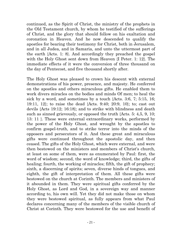continued, as the Spirit of Christ, the ministry of the prophets in the Old Testament church, by whom he testified of the sufferings of Christ, and the glory that should follow on his exaltation and coronation in Heaven. And he now descended to qualify the apostles for bearing their testimony for Christ, both in Jerusalem, and in all Judea, and in Samaria, and unto the uttermost part of the earth {Acts. 1: 8}. And accordingly they preached the gospel with the Holy Ghost sent down from Heaven {I Peter. 1: 12}. The immediate effects of it were the conversion of three thousand on the day of Pentecost, and five thousand shortly after.

The Holy Ghost was pleased to crown his descent with external demonstrations of his power, presence, and majesty. He conferred on the apostles and others miraculous gifts. He enabled them to work divers miracles on the bodies and minds Of men; to heal the sick by a word, and sometimes by a touch {Acts. 3:6, 7; 5:15, 16; 19:11, 12}; to raise the dead {Acts. 9:40; 20:9, 10}; to; cast out devils {Acts 19:12; 16:18}; and to strike with blindness and death such as sinned grievously, or opposed the truth {Acts. 5: 4,5, 9, 10; 13: 11 }. These were external extraordinary works, performed by the power of the Holy Ghost, and wrought by the apostles to confirm gospel-truth, and to strike terror into the minds of the opposers and persecutors of it. And these great and miraculous gifts were continued throughout the apostolic day, and then ceased. The gifts of the Holy Ghost, which were external, and were then bestowed on the ministers and members of Christ's church, at least on some of them, were as enumerated by Paul: first, the word of wisdom; second, the word of knowledge; third, the gifts of healing; fourth, the working of miracles; fifth, the gift of prophecy; sixth, a discerning of spirits; seven, diverse hinds of tongues, and eighth, the gift of interpretation of them. All these gifts were bestowed on the church at Corinth. The members and ministers of it abounded in them. They were spiritual gifts conferred by the Holy Ghost, as Lord and God, in a sovereign way and manner according to, his own will. Yet they did not make those on whom they were bestowed spiritual, as fully appears from what Paul declares concerning many of the members of the visible church of Christ at Corinth. They were bestowed for the use and benefit of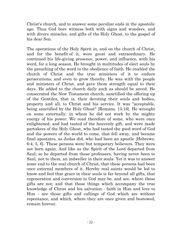Christ's church, and to answer some peculiar ends in the apostolic age. Thus God bore witness both with signs and wonders, and with divers miracles, and gifts of the Holy Ghost, to the gospel of his dear Son.

The operations of the Holy Spirit in, and on the church of Christ, and for the benefit of it, were great and extraordinary. He continued his life-giving presence, power, and influence, with his word, for a long season. He brought in multitudes of elect souls by the preaching of the word to the obedience of faith. He enabled the church of Christ and the true ministers of it to endure persecutions, and even to grow thereby. He was with the people and ministers of Christ, and gave them strength equal to their days. He added to the church daily such as should be saved. He consecrated the New Testament church, sanctified the offering up of the Gentiles, that is, their devoting their souls and bodies, property and all, to Christ and his service. It was "acceptable, being sanctified by the Holy Ghost" {Romans. 15:16}. He wrought on some externally, in whom he did not work by the mighty energy of his power. We read therefore of some, who were once enlightened, and had tasted of the heavenly gift, and were made partakers of the Holy Ghost, who had tasted the good word of God and the powers of the world to come, that fell away, and became final apostates, as Judas did, who had been an apostle {Hebrews. 6:4, 5, 6}. These persons were but temporary believers. They were not born again. And like as the Spirit of the Lord departed from Saul; so he departed from these professors, having never been to Saul, nor to them, an indweller in their souls. Yet it was to answer some end to the real church of Christ, that these persons bad been once external members of it. Hereby real saints would be led to know and feel that grace in their souls is far beyond all gifts, that regeneration and conversion to God may be, and are, where these gifts are not; and that those things which accompany the true knowledge of Christ and his salvation - faith in Him and love to Him - are those gifts and callings of God which are without repentance, and which, where they are once given and bestowed, remain forever.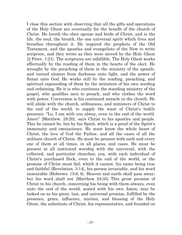I close this section with observing that all the gifts and operations of the Holy Ghost are eventually for the benefit of the church of Christ. He loveth the elect spouse and bride of Christ, and is the life, the soul, the breath, the one universal spirit which lives and breathes throughout it. He inspired the prophets of the Old Testament, and the apostles and evangelists of the New to write scripture, and they wrote as they were moved by the Holy Ghost {2 Peter. 1:21}. The scriptures are infallible. The Holy Ghost works effectually by the reading of them in the hearts of the elect. He wrought by the preaching of them in the ministry of the apostle, and turned sinners from darkness unto light, and the power of Satan unto God. He works still by the reading, preaching, and spiritual expounding of them by the ministers of his own sending and ordaining. He it is who continues the standing ministry of the gospel, who qualifies men to preach, and who clothes the word with power. Conversion is his continued miracle in the church. He will abide with the church, ordinances, and ministers of Christ to the end of the world, to supply the want of Christ's bodily presence. "Lo, I am with you alway, even to the end of the world. Amen" {Matthew. 28:20}, says Christ to his apostles and people. This he cannot be, but by his Spirit, which is a proof of the Spirit's immensity and omniscience. He must know the whole heart of Christ, the love of God the Father, and all the cases of all the militant church of Christ. He must be present with each and every one of them at all times, in all places, and cases. He must be present at all instituted worship with the universal, with the collected, and particular churches; yea, with each individual of Christ's purchased flock, even to the end of the world, or the promise of Christ must fail; which it cannot, his name being true and faithful {Revelation. 3:14}, his person invariable, and his word immutable {Hebrews. 13:6, 8}. Heaven and earth shall pass away; but his word shall not {Matthew. 24:35}. This great promise of Christ to his church, concerning his being with them always, even unto the end of the world, sealed with his own Amen, may be looked on as his great, last, and universal promise, fulfilled by the presence, grace, influence, unction, and blessing of the Holy Ghost, the substitute of Christ, his representative, and founded on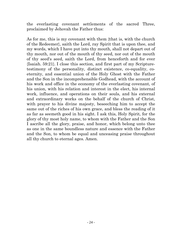the everlasting covenant settlements of the sacred Three, proclaimed by Jehovah the Father thus:

As for me, this is my covenant with them {that is, with the church of the Redeemer}, saith the Lord, ray Spirit that is upon thee, and my words, which I have put into thy mouth, shall not depart out of thy mouth, nor out of the mouth of thy seed, nor out of the mouth of thy seed's seed, saith the Lord, from henceforth and for ever {Isaiah. 59:21}. I close this section, and first part of my Scripturetestimony of the personality, distinct existence, co-equality, coeternity, and essential union of the Holy Ghost with the Father and the Son in the incomprehensible Godhead, with the account of his work and office in the economy of the everlasting covenant, of his union, with his relation and interest in the elect, his internal work, influence, and operations on their souls, and his external and extraordinary works on the behalf of the church of Christ, with prayer to his divine majesty, beseeching him to accept the same out of the riches of his own grace, and bless the reading of it as far as seemeth good in his sight. I ask this, Holy Spirit, for the glory of thy most holy name, to whom with the Father and the Son I ascribe all the glory, praise, and honor, which belong unto thee as one in the same boundless nature and essence with the Father and the Son, to whom be equal and unceasing praise throughout all thy church to eternal ages. Amen.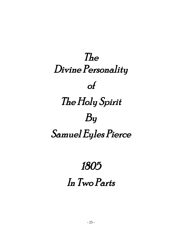# The Divine Personality of The Holy Spirit By Samuel Eyles Pierce

# 1805

## In Two Parts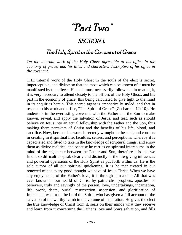# "Part Two"

#### SECTION.I.

#### The Holy Spirit in the Covenant of Grace

*On the internal work of the Holy Ghost agreeable to his office in the economy of grace; and his titles and characters descriptive of his office in the covenant.*

THE internal work of the Holy Ghost in the souls of the elect is secret, imperceptible, and divine: so that the most which can be known of it must be manifested by the effects. Hence it must necessarily follow that in treating it, it is very necessary to attend closely to the offices of the Holy Ghost, and his part in the economy of grace; this being calculated to give light to the mind in its enquiries herein. This sacred agent is emphatically styled, and that in respect to his work and office, "The Spirit of Grace" {Zechariah. 12: 10}. He undertook in the everlasting covenant with the Father and the Son to make known, reveal, and apply the salvation of Jesus, and lead such as should believe on Jesus into an actual fellowship with the Father and the Son, thus making them partakers of Christ and the benefits of his life, blood, and sacrifice. Now, because his work is secretly wrought in the soul, and consists in creating in it spiritual life, faculties, senses, and perceptions, whereby it is capacitated and fitted to take in the knowledge of scriptural things, and enjoy them as divine realities; and because he carries on spiritual intercourse in the mind of the regenerate between the Father and Son, therefore it is that we find it so difficult to speak clearly and distinctly of the life-giving influences and powerful operations of the Holy Spirit as put forth within us. He is the sole author of all our spiritual quickening. It is he that created in our renewed minds every good thought we have of Jesus Christ. When we have any enjoyments, of the Father's love, it is through him alone. All that was ever known in our world of Christ by patriarchs, prophets, apostles, or believers, truly and savingly of the person, love, undertakings, incarnation, life, work, death, burial, resurrection, ascension, and glorification of Immanuel, was from the Lord the Spirit, who has given a full account of the salvation of the worthy Lamb in the volume of inspiration. He gives the elect the true knowledge of Christ from it, seals on their minds what they receive and learn from it concerning the Father's love and Son's salvation, and fills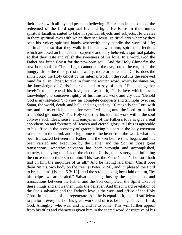their hearts with all joy and peace in believing. He creates in the souls of the redeemed of the Lord spiritual life and light. He forms in their minds spiritual faculties suited to take in spiritual objects and subjects. He creates in them spiritual eyes with which they see Jesus; spiritual ears whereby they bear his voice; spiritual hands wherewith they handle the word of life; spiritual feet so that they walk in him and with him; spiritual affections which are fixed on him as their supreme and only beloved; a spiritual palate, so that they taste and relish the sweetness of his love. In a word, God the Father has fitted Christ for the new-born soul. And the Holy Ghost fits the new-born soul for Christ. Light cannot suit the eye, sound the ear, meat the hungry, drink the thirsty, rest the weary, more or better than Christ does the sinner. And the Holy Ghost by his internal work in the soul fits the renewed mind for all in Christ; to take in from the written word, which be shines on, the knowledge of Christ's person; and to say of him, "He is altogether lovely": to apprehend his love, and say of it, "It is love which passes knowledge": to conceive rightly of his finished work and cry out, "Behold God is my salvation": to view his complete conquests and triumphs over sin, Satan, the world, death, and hell, and sing and say, "0 magnify the Lord with me, and let us exalt his name for ever. I will sing unto the Lord for he hath triumphed gloriously." The Holy Ghost by his internal work within the soul conveys such ideas, sense, and enjoyment of the Father's love as give a real apprehension and foretaste of Heaven and eternal glory. All this is agreeable to his office in the economy of grace; it being his part in the holy covenant to realize in the mind, and bring home to the heart from the word, what has been transacted between the Father and the Son before time began, and has been carried into execution by the Father and the Son in those great transactions, whereby salvation has been wrought and accomplished, namely, the laying the sins of the elect on Christ, their surety, and inflicting the curse due to their sin on him. This was the Father's act: "The Lord hath laid on him the iniquities of us all." And he having laid them, Christ bore them "in his own body on the tree" {1Peter. 2:24}, and "it pleased the Lord to bruise him" {Isaiah. 5 3: 10}; and the stroke having been laid on him, "by his stripes we are healed." Salvation being thus by these great acts and transactions between the Father and the Son completed, the Spirit takes of these things and shows them unto the believer. And this inward revelation of the Son's salvation and the Father's love is the work and office of the Holy Ghost in the souls of the regenerate. And he is equal to it, and all-sufficient to perform every part of his great work and office, be being Jehovah, Lord, God, Almighty, who was, and is, and is to come. This will further appear from his titles and characters given him in the sacred word, descriptive of his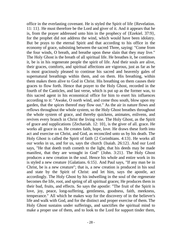office in the everlasting covenant. He is styled the Spirit of life {Revelation. 11: 11}. He must therefore be the Lord and giver of it. And it appears that he is, from the prayer addressed unto him in the prophecy of {Ezekiel. 37:9}, for the prophet did not address the wind, which would have been idolatry. But be prays to the eternal Spirit and that according to his office in the economy of grace, subsisting between the sacred Three, saying: "Come from the four winds, O breath, and breathe upon these slain that they may live." The Holy Ghost is the breath of all spiritual life. He breathes it, be continues it, be is in his regenerate people the spirit of life. And their souls are alive, their graces, comforts, and spiritual affections are vigorous, just as far as he is most graciously pleased to continue his sacred and heavenly gales of supernatural breathings within them, and on them. His breathing, within them makes them alive to God in Christ. His breathing on them causes their graces to flow forth. Hence that prayer to the Holy Ghost, recorded in the fourth of the Canticles, and last verse, which is put up as the former was, to this sacred agent in his economical office for him to exert his influences according to it: "Awake, O north wind, and come thou south, blow upon my garden, that the spices thereof may flow out." As the air in nature flows and reflows throughout the whole system, so the Holy Ghost breathes throughout the whole system of grace, and thereby quickens, animates, enlivens, and revives every branch in Christ the living vine. The Holy Ghost, as the Spirit of grace and supplications {Zechariah. 12: 10}, is the giver of all. grace. He works all grace in us. He creates faith, hope, love. He draws these forth into act and exercise on Christ, and God, as reconciled unto us by his death. The Holy Ghost is called the Spirit of faith {2 Corinthians. 4:13}. He works all our works in us, and for us, says the church {Isaiah. 26:12}. And our Lord says, "He that doeth truth cometh to the light, that his deeds may be made manifest, that they are wrought in God" {John. 3:21}. The Holy Ghost produces a new creation in the soul. Hence his whole and entire work in its is styled a new creature {Galatians. 6:15}. And Paul says, "If any man be in Christ, be is a new creature"; that is, a new creation is produced in his soul and state by the Spirit of Christ: and let him, says the apostle, act accordingly. The Holy Ghost by his indwelling in the soul of the regenerate becomes the life, root, and spring of all spiritual graces; He produces them in their bud, fruits, and effects. So says the apostle: "The fruit of the Spirit is love, joy, peace, long-suffering, gentleness, goodness, faith, meekness, temperance." All which he makes way for the discovery of in the believer's life and walk with God, and for the distinct and proper exercise of them. The Holy Ghost sustains under sufferings, and sanctifies the spiritual mind to make a proper use of them, and to look to the Lord for support tinder them,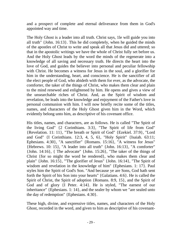and a prospect of complete and eternal deliverance from them in God's appointed way and time.

The Holy Ghost is a leader into all truth. Christ says, 1le will guide you into all truth" {John. 16:13}. This he did completely, when he guided the minds of the apostles of Christ to write and speak all that Jesus did and uttered; so that in the apostolic writings we have the whole of Christ fully set before us. And the Holy Ghost leads by the word the minds of the regenerate into a knowledge of all saving and necessary truth. He directs the heart into the love of God, and guides the believer into personal and peculiar fellowship with Christ. He becomes a witness for Jesus in the soul, and a glorifier for him in the understanding, heart, and conscience. He is the sanctifier of all the elect people of God, who abideth with them for ever, as the advocate, the comforter, the taker of the things of Christ, who makes them clear and plain to the mind renewed and enlightened by him. He opens and gives a view of the unsearchable riches of Christ. And, as the Spirit of wisdom and revelation, be leads into the knowledge and enjoyment of the Father's love in personal communion with him. I will now briefly recite some of the titles, names, and characters of the Holy Ghost given him in the Word, which evidently belong unto him, as descriptive of his covenant office.

His titles, names, and characters, are as follows. He is called "The Spirit of the living God" {2 Corinthians. 3:3}, "The Spirit of life from God" {Revelation. 11: 11}, "The breath or Spirit of God" {Ezekiel. 37:9}, "Lord and God" {I Corinthians. 12:3, 4, 5, 6}, "Holy Spirit" {Isaiah. 63:11; Ephesians. 4:30}, "A sanctifier" {Romans. 15:16}, "A witness for Jesus" {Hebrews. 10: 15}, "A leader into all truth" {John. 16:13}, "A comforter" {John. 14:16}, { The advocate" {John. 15:26}, "The taker of the things of Christ {for so might the word be rendered}, who makes them clear and plain" {John. 16:15}, "'The glorifier of Jesus" {John. 16:14}, "The Spirit of wisdom and revelation in the knowledge of him" {Ephesians. 1: 17}. Paul styles him the Spirit of God's Son. "And because ye are Sons, God hath sent forth the Spirit of his Son into your hearts" {Galatians. 4:6}. He is called the Spirit of Christ, the Spirit of adoption {Romans. 8:9, 15}, and the Spirit of God and of glory {I Peter. 4:14}. He is styled, "The earnest of our inheritance" {Ephesians. 1: 14}, and the sealer by whom we "are sealed unto the day of redemption" {Ephesians. 4:30}.

These high, divine, and expressive titles, names, and characters of the Holy Ghost, recorded in the word, and given to him as descriptive of his covenant-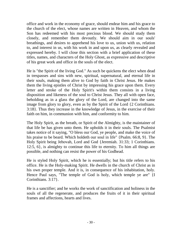office and work in the economy of grace, should endear him and his grace to the church of the elect, whose names are written in Heaven, and whom the Son has redeemed with his most precious blood. We should study them closely, and remember them devoutly. We should aim in our souls' breathings, and desires to apprehend his love to us, union with us, relation to, and interest in us, with his work in and upon us, as clearly revealed and expressed hereby. I will close this section with a brief application of these titles, names, and characters of the Holy Ghost, as expressive and descriptive of his great work and office in the souls of the elect.

He is "the Spirit of the living God." As such be quickens the elect when dead in trespasses and sins with new, spiritual, supernatural, and eternal life in their souls, making them alive to God by faith in Christ Jesus. He makes them the living epistles of Christ by impressing his grace upon them. Every letter and stroke of the Holy Spirit's within them consists in a living disposition and likeness of the soul to Christ Jesus. They all with open face, beholding as in a glass the glory of the Lord, are changed into the same image from glory to glory, even as by the Spirit of the Lord {2 Corinthians. 3:18}. Thus they increase in the knowledge of Jesus, in the exercise of their faith on him, in communion with him, and conformity to him.

The Holy Spirit, as the breath, or Spirit of the Almighty, is the maintainer of that life be has given unto them. He upholds it in their souls. The Psalmist takes notice of it saying, "O bless our God, ye people, and make the voice of his praise to be beard. Which holdeth our soul in life" {Psalm. 66:8, 9}. The Holy Spirit being Jehovah, Lord and God {Jeremiah. 31:33; 1 Corinthians. 12:5, 6}, is almighty to continue this life to eternity. To him all things are possible, and nothing can resist the power of his Godhead.

He is styled Holy Spirit, which he is essentially; but his title refers to his office. He is the Holy-making Spirit. He dwells in the church of Christ as in his own proper temple. And it is, in consequence of his inhabitation, holy. Hence Paul says, "The temple of God is holy, which temple ye are" {I Corinthians. 3:17}.

He is a sanctifier; and he works the work of sanctification and holiness in the souls of all the regenerate, and produces the fruits of it in their spiritual frames and affections, hearts and lives.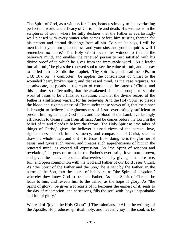The Spirit of God, as a witness for Jesus, bears testimony to the everlasting perfection, work, and efficacy of Christ's life and death. His witness is in the scriptures of truth, where be fully declares that the Father is everlastingly well pleased with every sinner who comes before him trusting thereon for his present and eternal discharge from all sin. To such be says, I will be merciful to your unrighteousness, and your sins and your iniquities will I remember no more." The Holy Ghost bears his witness to this in the believer's mind, and enables the renewed person to rest satisfied with his divine proof of it, which he gives from the immutable word. "As a leader into all truth," he gives the renewed soul to see the value of truth, and to pray to be led into it. So did the prophet, "Thy Spirit is good, lead me" {Psalm 143: 10}. As "a comforter," be applies the consolations of Christ to the wounded heart, broken spirit, and distressed mind, as the case requires. As an advocate, he pleads in the court of conscience the cause of Christ, and this he does so effectually, that the awakened sinner is brought to see the work of Jesus to be a finished salvation, and that the divine record of the Father is a sufficient warrant for his believing. And the Holy Spirit so pleads the blood and righteousness of Christ under these views of it, that the sinner is brought to believe the righteousness of Jesus everlastingly sufficient to present him righteous at God's bar; and the blood of the Lamb everlastingly efficacious to cleanse him from all sins. And be comes before the Lord in the belief of it, and pleads it before the throne. The Holy Spirit as "the taker of things of Christ," gives the believer blessed views of the person, love, righteousness, blood, fullness, mercy, and compassion of Christ, such as draw the whole heart, and knit it to Jesus. In so doing he is the glorifier of Jesus, and gives such views, and creates such apprehensions of him in the renewed mind, as exceed all expression. As "the Spirit of wisdom and revelation," he goes on to make the Father's everlasting love more known, and gives the believer repeated discoveries of it by giving him more free, full, and open communion with the God and Father of our Lord Jesus Christ. As "the Spirit of the Father and the Son," he is sent by the Father, in the name of the Son, into the hearts of believers, as "the Spirit of adoption," whereby they know God to be their Father. As "the Spirit of Christ," he leads to him, and reveals him to the called, as the hope of glory. As "the Spirit of glory," be gives a foretaste of it, becomes the earnest of it, seals to the day of redemption, and at seasons, fills the soul with "joys unspeakable and full of glory."

We read of "joy in the Holy Ghost" {I Thessalonians. 1: 6} in the writings of the Apostle. He produces spiritual, holy, and heavenly joy in the soul, as be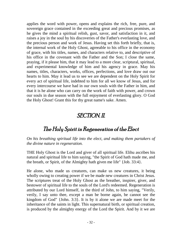applies the word with power, opens and explains the rich, free, pure, and sovereign grace contained in the exceeding great and precious promises, as he gives the mind a spiritual relish, gust, savor, and satisfaction in it, and raises a joy in the soul by his discoveries of the Father's everlasting love, and the precious person and work of Jesus. Having set this forth briefly, that is, the internal work of the Holy Ghost, agreeable to his office in the economy of grace, with his titles, names, and characters relative to, and descriptive of his office in the covenant with the Father and the Son; I close the same, praying, if it please him, that it may lead to a more clear, scriptural, spiritual, and experimental knowledge of him and his agency in grace. May his names, titles, characters, works, offices, perfections, and love draw out our hearts to him. May it lead us to see we are dependent on the Holy Spirit for every act of spiritual life, indebted to him for all we know of Jesus, and for every intercourse we have had in our own souls with the Father in him, and that it is he alone who can carry on the work of faith with power, and crown our souls in due season with the full enjoyment of everlasting glory. O God the Holy Ghost! Grant this for thy great name's sake. Amen.

#### SECTION. II.

#### The Holy Spirit in Regeneration of the Elect

*On his breathing spiritual life into the elect, and making them partakers of the divine nature in regeneration.*

THE Holy Ghost is the Lord and giver of all spiritual life. Elihu ascribes his natural and spiritual life to him saying, "the Spirit of God hath made me, and the breath, or Spirit, of the Almighty hath given me life" {Job. 33:4}.

He alone, who made us creatures, can make us new creatures, it being wholly owing to creating power if we be made new creatures in Christ Jesus. The scriptures treat of the Holy Ghost as the breather, inspirer, giver, and bestower of spiritual life to the souls of the Lord's redeemed. Regeneration is attributed by our Lord himself, in the third of John, to him saying, "Verily, verily, I say unto thee, except a man be borne again, be cannot see the kingdom of God" {John. 3:3}. It is by it alone we are made meet for the inheritance of the saints in light. This supernatural birth, or spiritual creation, is produced by the almighty energy of the Lord the Spirit. And by it we are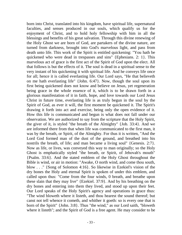born into Christ, translated into his kingdom, have spiritual life, supernatural faculties, and senses produced in our souls, which qualify us for the enjoyment of Christ, and to hold holy fellowship with him in all the blessings and benefits of his great salvation. Through this divine renewing of the Holy Ghost we are born of God, are partakers of the divine nature, are turned from darkness, brought into God's marvelous light, and pass from death unto life. This work of the Spirit is entitled quickening: "You hath be quickened who were dead in trespasses and sins" {Ephesians. 2: 1}. This marvelous act of grace is the first act of the Spirit of God upon the elect. All that follows is but the effects of it. The soul is dead in a spiritual sense to the very instant of his quickening it with spiritual life. And he conveys life once for all; hence it is called everlasting life. Our Lord says, "He that believeth on me hath everlasting life" {John. 6:47}. Now, though the soul upon its first being quickened does not know and believe on Jesus, yet regeneration being grace in the whole essence of it, which is to be drawn forth in a glorious manifestation of it in faith, hope, and love towards our Lord Jesus Christ in future time, everlasting life is as truly begun in the soul by the Spirit of God, as ever it will, the first moment be quickened it. The Spirit's drawing it forth into act and exercise, being only the open evidence of it. How this life is communicated and begun is what does not fall under our observation. We are authorized to say from the scripture that the Holy Spirit, the giver of it, is styled "the breath of the Almighty" {Job. 33:4}. And we are informed there from that when life was communicated to the first man, it was by the breath, or Spirit, of the Almighty. For thus it is written, "And the Lord God formed man of the dust of the ground, and breathed into his nostrils the breath, of life; and man became a living soul" {Genesis. 2:7}. Now as life, or lives, was conveyed this way to man originally; so the Holy Ghost is emphatically styled "the breath, or Spirit, of Jehovah's mouth" {Psalm. 33:6}. And the stated emblem of the Holy Ghost throughout the Bible is wind, or air in motion: "Awake, O north wind, and come thou south, blow . . ." {Song of Solomon 4:16}. So likewise in Ezekiel's vision of the dry bones the Holy and eternal Spirit is spoken of under this emblem, and called upon thus: "Come from the four winds, 0 breath, and breathe upon these slain that they may live" {Ezekiel. 37:9}. And by his breathing on the dry bones and entering into them they lived, and stood up upon their feet. Our Lord speaks of the Holy Spirit's agency and operations in grace thus: "The wind bloweth where it listeth, and thou hearest the sound thereof; but canst not tell whence it cometh, and whither it goeth: so is every one that is born of the Spirit" {John. 3:8}. Thus "the wind," as our Lord saith, "bloweth where it listeth"; and the Spirit of God is a free agent. He may consider to be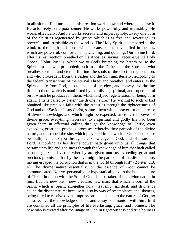in allusion of life into man at his creation works how and where he pleaseth. He acts freely on a poor sinner. He works powerfully and irresistibly. He works effectually. And he works secretly and imperceptibly. Every one born of the Spirit is regenerated by grace: which is as free and sovereign, as powerful and irresistible as the wind is. The Holy Spirit is compared to the wind, to the south and north wind, because of his diversified influences, which are powerful, comfortable, quickening, and quieting. Our divine Lord, after his resurrection, breathed on his Apostles, saying, "receive ye the Holy Ghost" {John. 20:22}; which we to God's breathing the breath or, to the Spirit himself, who proceedeth both from the Father and the Son: and who breathes spiritual and eternal life into the souls of the elect in regeneration; and who proceedeth from the Father and the Son ministerially, according to the federal transactions of the eternal Three; and breathes, and enters, as the Spirit of life from God, into the souls of the elect, and conveys everlasting life into them: which is manifested by that divine, spiritual, and supernatural birth which he produces in them, which is styled regeneration, or being born again. This is called by Peter "the divine nature." He, writing to such as bad obtained like precious faith with the Apostles through the righteousness of God and our Saviour Jesus Christ, salutes them with a prayer for an increase of divine knowledge, and which might be expected, since by the power of divine grace, everything necessary to a spiritual and godly life had been given them in effectual calling through the knowledge of Christ, even exceeding great and precious promises, whereby they partook of the divine nature, and escaped the sins which prevailed in the world. "Grace and peace be multiplied unto you through the knowledge of God, and of Jesus our Lord. According as his divine power hath given unto us all things that pertain unto life and godliness through the knowledge of him that hath called us unto glory and virtue: whereby are given unto us exceeding great and precious promises: that by these ye might be partakers of the divine nature, having escaped the corruption that is in the world through lust" {2 Peter. 2:3, 4} The divine nature essentially, or the essence of God, cannot be communicated. Nor yet personally, or hypostatically; so as the human nature of Christ, in union with the Son of God, is a partaker of the divine nature in him. But the new birth, new creature, new man, that which is born of the Spirit, which is Spirit, altogether holy, heavenly, spiritual, and divine, is called the divine nature; because it is so by way of resemblance and likeness, being fitted to receive divine impressions, and suited to the nature of God, so as to receive the knowledge of him, and enjoy communion with him. In it are contained all the principles of life everlasting, grace, and holiness. The new man is created after the image of God in righteousness and true holiness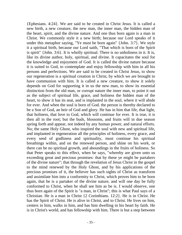{Ephesians. 4:24}. We are said to be created in Christ Jesus. It is called a new birth, a new creature, the new man, the inner man, the hidden man of the heart, spirit, and the divine nature. And one thus born again is a man in Christ. We commonly style it a new birth; because our Lord speaks of it under this metaphor saying, "Ye must be born again" {John. 3:7}. We style it a spiritual birth, because our Lord saith, "That which is born of the Spirit is spirit" {John. 3:6}. It is wholly spiritual. There is no unholiness in it. It is, like its divine author, holy, spiritual, and divine. It capacitates the soul for the knowledge and enjoyment of God. It is called the divine nature because it is suited to God, to contemplate and enjoy fellowship with him in all his persons and perfections. We are said to be created in Christ Jesus, to show our regeneration is a spiritual creation in Christ, by which we are brought to have communion with him. It is called a new creature, to show it solely depends on God for supporting it in us the new man, to show its essential distinction from the old man, or corrupt nature the inner man, to point it out as the subject of spiritual life, grace, and holiness the hidden man of the heart, to show it has its seat, and is implanted in the soul, where it will abide for ever. And when the soul is born of God. the person is thereby declared to be a Son of God, an heir of God and glory. He has in him that life, that light, that holiness, that love to God, which will continue for ever. It is true, it is then all in the root; but the buds, blossoms, and fruits will in due season spring forth and appear, not indeed by any human power, and natural efforts. No; the same Holy Ghost, who inspired the soul with new and spiritual life, and implanted in regeneration all the principles of holiness, every grace, and every seed of godliness and spirituality, must continue his spiritual breathings within, and on the renewed person, and shine on his work, or there can be no spiritual growth, and aboundings in the fruits of holiness. So that Peter speaks to this effect, when be says, "whereby are given unto us exceeding great and precious promises: that by these ye might be partakers of the divine nature"; that through the revelation of Jesus Christ in the gospel to the mind renewed by the Holy Ghost, and by his applications of the precious promises of it, the believer has such sights of Christ as transform and assimilate him into a conformity to Christ, which proves him to be born again, that he is a partaker of the divine nature, and will one day be fully conformed to Christ, when he shall see him as be is. I would observe, one thus born again of the Spirit is "a man, in Christ"; this is what Paul says of a Christian. He is a man in Christ {2 Corinthians. 12:2}. He is in Christ. He has the Spirit of Christ. He is alive in Christ, and to Christ. He lives on him, centers in him, walks in him, and has him dwelling in his heart by faith. He is in Christ's world, and has fellowship with him. There is but a step between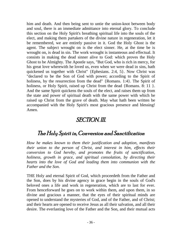him and death. And then being sent to untie the union-knot between body and soul, there is an immediate admittance into eternal glory. To conclude this section on the Holy Spirit's breathing spiritual life into the souls of the elect, and making them partakers of the divine nature in regeneration, let it be remembered, we are entirely passive in it. God the Holy Ghost is the agent. The subject wrought on is the elect sinner. He, at the time be is wrought on, is dead in sin. The work wrought is instanteous and effectual. It consists in making the dead sinner alive to God: which proves the Holy Ghost to be Almighty. The Apostle says, "But God, who is rich in mercy, for his great love wherewith he loved us, even when we were dead in sins, hath quickened us together with Christ" {Ephesians. 2:4, 5}. Now Christ was "declared to be the Son of God with power; according to the Spirit of holiness, by the resurrection from the dead" {Romans. 1:4}. The Spirit of holiness, or Holy Spirit, raised up Christ from the dead {Romans. 8: 11 }. And the same Spirit quickens the souls of the elect, and raises them up from the state and power of spiritual death with the same power with which he raised up Christ from the grave of death. May what hath been written be accompanied with the Holy Spirit's most gracious presence and blessing! Amen.

#### SECTION. III.

#### The Holy Spirit in, Conversion and Sanctification

*How he makes known to them their justification and adoption, manifests their union to the person of Christ, and interest in him, effects their conversion to God hereby, and promotes the fruits of sanctification, holiness, growth in grace, and spiritual consolation, by directing their hearts into the love of God and leading them into communion with the Father and the Son.*

THE Holy and eternal Spirit of God, which proceedeth from the Father and the Son, does by his divine agency in grace begin in the souls of God's beloved ones a life and work in regeneration, which are to last for ever. From henceforward he goes on to work within them, and upon them, in so divine and gracious a manner, that the eyes of their spiritual minds are opened to understand the mysteries of God, and of the Father, and of Christ; and their hearts are opened to receive Jesus as all their salvation, and all their desire. The everlasting love of the Father and the Son, and their mutual acts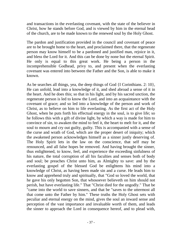and transactions in the everlasting covenant, with the state of the believer in Christ, how he stands before God, and is viewed by him in the eternal head of the church, are to be made known to the renewed soul by the Holy Ghost.

The pardon and justification provided in the council and covenant of peace are to be brought home to the heart, and proclaimed there, that the regenerate person may know himself to be a pardoned and justified man, rejoice in it, and bless the Lord for it. And this can be done by none but the eternal Spirit. He only is equal to this great work. He being a person in the incomprehensible Godhead, privy to, and present when the everlasting covenant was entered into between the Father and the Son, is able to make it known.

As be searches all things, yea, the deep things of God {I Corinthians. 2: 10}, He can unfold, lead into a knowledge of it, and shed abroad a sense of it in the heart. And he does this; so that in his light, and by his sacred unction, the regenerate person is led to know the Lord, and into an acquaintance with the covenant of grace; and so led into a knowledge of the person and work of Christ, as to believe on him to life everlasting. As the first act of the Holy Ghost, when he puts forth his effectual energy in the soul, is to give life; so he follows this with a gift of divine light, by which a way is made for him to convince of sin, to awaken the mind to feel it, the heart to melt for it, and the soul to mourn and cry out guilty, guilty. This is accompanied with a sense of the curse and wrath of God, which are the proper desert of iniquity; which the awakened person acknowledges himself as a sinner justly deserving of. The Holy Spirit lets in the law on the conscience, that self may be renounced, and all false hopes be removed. And having brought the sinner, thus enlightened, to know, feel, and experience the exceeding sinfulness of his nature, the total corruption of all his faculties and senses both of body and soul; be preaches Christ unto him, as Almighty to save: and by the everlasting gospel of the blessed God be enlightens his mind into a knowledge of Christ, as having been made sin and a curse. He leads him to know and apprehend truly and spiritually, that "God so loved the world, that he gave his only begotten Son, that whosoever believeth on him should not perish, but have everlasting life." That "Christ died for the ungodly." That be "came into the world to save sinners, and that be "saves to the uttermost all that come unto the Father by him." These truths the Holy Ghost sets with peculiar and eternal energy on the mind, gives the soul an inward sense and perception of the vast importance and invaluable worth of them, and leads the sinner to approach the Lord in consequence hereof, and to plead with,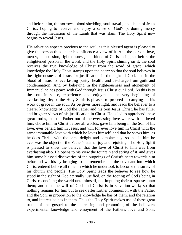and before him, the sorrows, blood shedding, soul-travail, and death of Jesus Christ, hoping to receive and enjoy a sense of God's pardoning mercy through the mediation of the Lamb that was slain. The Holy Spirit now begins to reveal Jesus.

His salvation appears precious to the soul, as this blessed agent is pleased to give the person thus under his influence a view of it. And the person, love, mercy, compassion, righteousness, and blood of Christ being set before the enlightened person in the word, and the Holy Spirit shining on it, the soul receives the true knowledge of Christ from the word of grace, which knowledge the Holy Ghost stamps upon the heart: so that the soul believes in the righteousness of Jesus for justification in the sight of God, and in the blood of Jesus for everlasting purity, health, and discharge from guilt and condemnation. And by believing in the righteousness and atonement of Immanuel he has peace with God through Jesus Christ our Lord. As this is to the soul in sense, experience, and enjoyment, the very beginning of everlasting life; so the Holy Spirit is pleased to proceed in carrying on his work of grace in the soul. As be gives more light, and leads the believer to a clearer knowledge of God the Father and his Son Jesus Christ, he has fuller and brighter views of his justification in Christ. He is led to apprehend these great truths, that the Father out of the everlasting love wherewith he loved him, chose him in Christ before all worlds, gave him being in the Son of his love, ever beheld him in Jesus, and will for ever love him in Christ with the same immutable love with which he loves himself; and that he views him, as he does Christ, with the same delight and complacency; so that in him he ever was the object of the Father's eternal joy and rejoicing. The Holy Spirit is pleased to show the believer that the love of Christ to him was from everlasting also. He opens to his view the fountain and spring of it, and gives him some blessed discoveries of the outgoings of Christ's heart towards him before all worlds by bringing to his remembrance the covenant into which Christ entered before all time, in which he undertook to become the surety of his church and people. The Holy Spirit leads the believer to see how he stood in the sight of God eternally justified, on the footing of God's being in Christ reconciling the world unto himself, not imputing their trespasses unto them; and that the will of God and Christ is in salvation-work; so that nothing remains for him but to seek after further communion with the Father and the Son, in proportion to the knowledge he has of them, and the relation to, and interest be has in them. Thus the Holy Spirit makes use of these great truths of the gospel to the increasing and promoting of the believer's experimental knowledge and enjoyment of the Father's love and Son's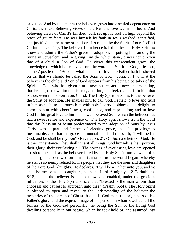salvation. And by this means the believer grows into a settled dependence on Christ the rock. Believing views of the Father's love warm his heart. And believing views of Christ's finished work set up his soul on high beyond the reach of guilty fears. He sees himself by faith in Jesus washed, sanctified, and justified "in the name of the Lord Jesus, and by the Spirit of our God" {I Corinthians. 6: 11}. The believer from hence is led on by the Holy Spirit to know and admire the Father's grace in adoption, in putting him among the living in Jerusalem, and in giving him the white stone, a new name, even that of a child, a Son of God. He views this transcendent grace, the knowledge of which be receives from the word and Spirit of God, cries out, as the Apostle did, "Behold, what manner of love the Father hath bestowed on us, that we should be called the Sons of God" {John. 3: 1 }. That the believer is the child and Son of God appears from his being a partaker of the Spirit of God, who has given him a new nature, and a new understanding, that he might know him that is true, and find, and feel, that he is in him that is true, even in his Son Jesus Christ. The Holy Spirit becomes to the believer the Spirit of adoption. He enables him to call God, Father; to love and trust in him as such, to approach him with holy liberty, boldness, and delight, to come to him with cheerfulness, confidence, and expectation; and to love God for his great love to him in his well beloved Son: which the believer has had a sweet sense and experience of. The Holy Spirit shows from the word that this blessing of being predestinated to the adoption of Sons by Jesus Christ was a part and branch of electing grace, that the privilege is inestimable, and that the grace is immutable. The Lord saith, "I will be his God, and be shall be my Son" {Revelation. 21:7}. Such are heirs of God. He is their inheritance. They shall inherit all things. God himself is their portion, their glory, their everlasting all. The springs of everlasting love are opened afresh to the soul, as the believer is led by the Holy Spirit into views of this ancient grace, bestowed on him in Christ before the world began: whereby he stands so nearly related to, his people that they are the sons and daughters of the Lord God Almighty. He declares, "I will be a Father unto you, and ye shall be my sons and daughters, saith the Lord Almighty" {2 Corinthians. 6:18}. Thus the believer is led to know, and enabled, under the gracious influences of the Holy Spirit, to say that "Blessed is the man whom thou choosest and causest to approach unto thee" {Psalm. 65:4}. The Holy Spirit is pleased to open and reveal to the understanding of the believer the mysteries of the person of Christ that he is God-man, the brightness of his Father's glory, and the express image of his person, in whom dwelleth all the fulness of the Godhead personally; he being the Son of the living God dwelling personally in our nature, which he took hold of, and assumed into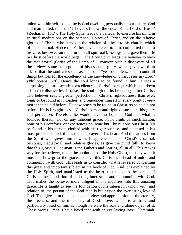union with himself; so that be is God dwelling personally in our nature, God and man united, the man "Jehovah's fellow, the equal of the Lord of Hosts" {Zechariah. 13:7}. The Holy Spirit leads the believer to exercise his mind in spiritual meditations on the personal glories of Christ, and on the relative glories of Christ; who stands in the relation of a head to his church: which office is eternal. Hence the Father gave the elect to him, committed them to his care, bestowed on them in him all spiritual blessings, and gave them life in Christ before the world began. The Holy Spirit leads the believer to view the mediatorial glories of the Lamb of ", conveys with a discovery of all these views some conceptions of his essential glory, which gives worth to all; so that the soul cries out, as Paul did, "yea, doubtless, and I count all things but loss for the excellency of the knowledge of Christ Jesus my Lord" {Philippians. 3:8}. Hence the soul longs to be found in him. It sees a surpassing and transcendent excellency in Christ's person, which puts down all former discoveries. It raises the soul high on its breathings. after Christ. The believer sees a greater perfection in Christ's righteousness than ever, longs to be found in it, loathes, and renounces himself in every point of view more than he did before. He now prays to be found in Christ, so as he did not before. He is brought to see Christ's person and righteousness are his glory and perfection. Therefore he would have no hope in God but what is founded thereon: not on any inherent grace, on no fruits of sanctification, none of his comforts, or experiences no: none but Christ, none but Christ. To be found in his person, clothed with his righteousness, and cleansed in his most precious blood, this is the one prayer of his heart. And this arises from the Spirit who gives him now such apprehensions of Christ's essential, personal, mediatorial, and relative glories, as give the mind fully to know that this glorious God-man is the Father's and Spirit's, all in all. This makes way for the believer, under the anointings of the Holy Ghost, to study what it must be, how great the grace, to have this Christ as a head of union and communion with God. This leads us to consider what is revealed concerning this great and important subject in the book of God. And it is explained by the Holy Spirit, and manifested to the heart, that union to the person of Christ is the foundation of all hope, interest in, and communion with God. This makes the believer more diligent in his inquiries into this amazing grace. He is taught to see the foundation of his interest in union with, and relation to, the person of the God-man is built upon the everlasting love of God. This gives him the most exalted view and apprehension of the eternity, the freeness, and the immensity of God's love; which is as truly and particularly fixed on him as though he were the sole and alone object of it. These words, "Yea, I have loved thee with an everlasting love" {Jeremiah.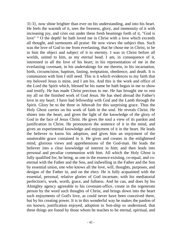31:3}, now shine brighter than ever on his understanding, and into his heart. He feels the warmth of it, sees the freeness, glory, and immensity of it with increasing joy, and cries out under these fresh beamings forth of it, "God is love" " O the depth! he hath loved me in Christ with a love which exceeds all thought, and surmounts all praise. He now views the subject thus. Such was the love of God to me from everlasting, that he chose me in Christ, to be in him the object and subject of it to eternity. I was in Christ before all worlds, united to him, as my eternal head. I am, in consequence of it, interested in all the love of his heart; in his representation of me in the everlasting covenant, in his undertakings for me therein, in his incarnation, birth, circumcision, baptism, fasting, temptation, obedience, and death. It is communion with him I still need. This is it which evidences to my faith that my beloved Jesus is mine, and I am his. And this is the work and office of the Lord the Spirit which, blessed be his name he hath begun in me to show and testify. He has made Christ precious to me. He has brought me to rest my all on the finished work of God Jesus. He has shed abroad the Father's love in my heart. I have had fellowship with God and the Lamb through the Spirit. Glory be to the three in Jehovah for this surprising grace. Thus the Holy Ghost carries on his work of faith in the soul. He reveals Christ. He shines into the heart, and gives the light of the knowledge of the glory of God in the face of Jesus Christ. He gives the soul a view of its pardon and justification in Christ. He pronounces the sentence of it in the mind, and gives an experimental knowledge and enjoyment of it in the heart. He leads the believer to know his adoption, and gives him an enjoyment of the unutterable grace contained in it. He gives and creates in the enlightened mind, glorious views and apprehensions of the God-man. He leads the believer into a clear knowledge of interest in him; and then leads into personal and peculiar communion with him. All which the Holy Ghost is fully qualified for; he being, as one in the essence-existing, co-equal, and coeternal with the Father and the Son, and indwelling in the Father and the Son by essential union, one who knows all the love, will, thoughts, purposes, and designs of the Father in, and on the elect. He is fully acquainted with the essential, personal, relative glories of God incarnate, with his mediatorial perfection's, work, worth, grace, and fullness. And he can, and does by his Almighty agency agreeable to his covenant-office, create in the regenerate person by the word such thoughts of Christ, and brings down into the heart such enjoyments of God's love, as could never have been conceived there, but by his creating power. It is in this wonderful way he makes the pardon of sin known, justification enjoyed, adoption to Son-ship so understood, that these things are found by those whom he teaches to be eternal, spiritual, and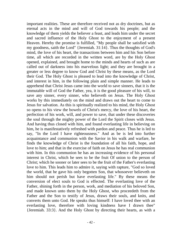important realities. These are therefore received not as dry doctrines, but as eternal acts in the mind and will of God towards his people; and the knowledge of them yields the believer a feast, and leads him under the secret and sacred influence of the Holy Ghost to the enjoyment of a present Heaven. Hereby the promise is fulfilled, "My people shall be satisfied with my goodness, saith the Lord" {Jeremiah. 31:14}. Thus the thoughts of God's mind, the love of his heart, the transactions between him and his Son before time, all which are recorded in the written word, are by the Holy Ghost opened, explained, and brought home to the minds and hearts of such as are called out of darkness into his marvelous light; and they are brought in a greater or less degree to know God and Christ by these means, as the Lord their God. The Holy Ghost is pleased to lead into the knowledge of Christ, and interest in him, in the following plain and simple manner. He leads to apprehend that Christ Jesus came into the world to save sinners, that it is the immutable will of God the Father, yea, it is the good pleasure of his will, to save any sinner, every sinner, who believeth on Jesus. The Holy Ghost works by this immediately on the mind and draws out the heart to come to Jesus for salvation. As this is spiritually realized to his mind, the Holy Ghost so opens to his view the bowels of Christ's mercy, the love of his heart, the perfection of his work, will, and power to save, that under these discoveries the soul through the mighty power of the Lord the Spirit closes with Jesus. And having thus closed with him, and found everlasting life in believing on him, he is manifestatively refreshed with pardon and peace. Thus he is led to say, "In the Lord I have righteousness." And as be is led into further acquaintance and communion with the Savior in his walk and warfare, he finds the knowledge of Christ is the foundation of all his faith, hope, and love to him; and that in the exercise of faith on Jesus he has real communion with him. In this communion he has an increasing evidence of his personal interest in Christ, which he sees to be the fruit Of union to the person of Christ; which he sooner or later sees to be the fruit of the Father's everlasting love to him. This leads him to admire it, saying with rapture, "God so loved the world, that he gave his only begotten Son, that whosoever believeth on him should not perish but have everlasting life." By these means the conversion of elect souls to God is effected. The everlasting love of the Father, shining forth in the person, work, and mediation of his beloved Son, and made known unto them by the Holy Ghost, who proceedeth from the Father and the Son to testify of Jesus, draws their souls, and knits, and converts them unto God. He speaks thus himself: I have loved thee with an everlasting love, therefore with loving kindness have I drawn thee" {Jeremiah. 33:3}. And the Holy Ghost by directing their hearts, as with a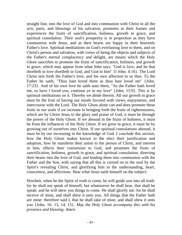straight line, into the love of God and into communion with Christ in all the acts, parts, and blessings of his salvation, promotes in their frames and experiences the fruits of sanctification, holiness, growth in grace, and spiritual consolation. Their soul's prosperity is in proportion as they have communion with Jesus, and as their hearts are happy in their heavenly Father's love. Spiritual meditations on God's everlasting love to them, and on Christ's person and salvation, with views of being the objects and subjects of the Father's eternal complacency and delight, are means which the Holy Ghost sanctifies to promote the fruits of sanctification, holiness, and growth in grace; which may appear from what John says, "God is love, and he that dwelleth in love dwelleth in God, and God in him" {I John. 4:16}. The Lord Christ sets forth the Father's love, and his own affection to us thus. To the Father he saith, "Thou hast loved them as thou hast loved me" {John. 17:23}. And of his own love he saith unto them, "As the Father hath loved me, so have I loved you, continue ye in my love" {John. 15:9}. This is by spiritual meditations on it. Thereby we abide therein. All our growth in grace must be the fruit of having our minds favored with views, enjoyments, and intercourse with the Lord. The Holy Ghost alone can and does promote these fruits in our souls if we increase in bringing forth the fruits of righteousness, which are by Christ Jesus to the glory and praise of God, it must be through the power of the Holy Ghost. If we abound in the fruits of holiness, it must be from the influences of the Holy Ghost. If we grow in grace, it must be by growing out of ourselves into Christ. If our spiritual consolations abound, it must be by our increasing in the knowledge of God. I conclude this section, how the Holy Ghost makes known to the elect their justification and adoption, how he manifests their union to the person of Christ, and interest in him, effects their conversion to God, and promotes the fruits of sanctification, holiness, growth in grace, and spiritual consolation, directing their hearts into the love of God, and leading them into communion with the Father and the Son, with saying that all this is carried on in the soul by the Spirit's revealing Christ, and glorifying him in the understanding, heart, conscience, and affections. Hear what Jesus saith himself on the subject:

Howbeit, when be the Spirit of truth is come, be will guide you into all truth: for he shall not speak of himself; but whatsoever he shall hear, that shall he speak: and he will shew you things to come. He shall glorify me: for he shall receive of mine, and shall shew it unto you. All things that the Father hath are mine: therefore said I, that he shall take of mine, and shall shew it unto you {John. 16: 13, 14, 15}. *May the Holy Ghost accompany this with his presence and blessing. Amen.*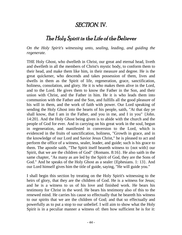#### SECTION. IV.

#### The Holy Spirit in the Life of the Believer

*On the Holy Spirit's witnessing unto, sealing, leading, and guiding the regenerate.*

THE Holy Ghost, who dwelleth in Christ, our great and eternal head, liveth and dwelleth in all the members of Christ's mystic body, to conform them to their head, and make them like him, in their measure and degree. He is the great quickener, who descends and takes possession of them, lives and dwells in them as the Spirit of life, regeneration, grace, sanctification, holiness, consolation, and glory. He it is who makes them alive in the Lord, and to the Lord. He gives them to know the Father in the Son, and their union with Christ, and the Father in him. He it is who leads them into communion with the Father and the Son, and fulfills all the good pleasure of his will in them, and the work of faith with power. Our Lord speaking of sending the Holy Ghost into the hearts of his people, saith, "At that day ye shall know, that I am in the Father, and you in me, and I in you" {John. 14:20}. And the Holy Ghost being given is to abide with the church and the people of God for ever. And in carrying on his great work in the soul, begun in regeneration, and manifested in conversion to the Lord, which is evidenced in the fruits of sanctification, holiness, "Growth in grace, and in the knowledge of our Lord and Savior Jesus Christ," he is pleased to act and perform the office of a witness, sealer, leader, and guide; such is his grace to them. The apostle saith, "The Spirit itself beareth witness to {not with} our Spirit, that we are the children of God" {Romans. 8:16}. He also saith in the same chapter, "As many as are led by the Spirit of God, they are the Sons of God." And he speaks of the Holy Ghost as a sealer {Ephesians. 1: 13}. And our Lord himself gives him the title of guide, saying, "He will guide you."

I shall begin this section by treating on the Holy Spirit's witnessing to the heirs of glory, that they are the children of God. He is a witness for Jesus; and he is a witness to us of his love and finished work. He bears his testimony for Christ in the word. He bears his testimony also of this to the renewed mind. He carries his cause so effectually that he beareth his witness to our spirits that we are the children of God; and that so effectually and powerfully as to put a stop to our unbelief. I will aim to show what the Holy Spirit is in a peculiar manner a witness of: then how sufficient he is for it: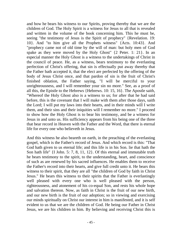and bow he bears his witness to our Spirits, proving thereby that we are the children of God. The Holy Spirit is a witness for Jesus to all that is revealed and written in the volume of the book concerning him. This he must be, seeing "the testimony of Jesus is the Spirit of prophecy" {Revelation. 19: 10}. And "to him give all the Prophets witness" {Acts. 10:43}. And "prophecy came not of old time by the will of man: but holy men of God spake as they were moved by the Holy Ghost" {2 Peter. 1: 21}. In an especial manner the Holy Ghost is a witness to the undertakings of Christ in the council of peace. He, as a witness, bears testimony to the everlasting perfection of Christ's offering, that sin is effectually put away thereby that the Father bath accepted it, that the elect are perfected by the offering of the body of Jesus Christ once, and that pardon of sin is the fruit of Christ's finished oblation, the Father saying, "I will be merciful to your unrighteousness, and I will remember your sin no more." See, as a proof of all this, the Epistle to the Hebrews {Hebrews. 10: 15, 16}. The Apostle saith, "Whereof the Holy Ghost also is a witness to us; for after that he had said before, this is the covenant that I will make with them after those days, saith the Lord; I will put my laws into their hearts, and in their minds will I write them, and their sins and their iniquities will I remember no more." I proceed to show how the Holy Ghost is to bear his testimony, and be a witness for Jesus in and unto us. His sufficiency appears from his being one of the three that bear record in Heaven with the Father and the Word, that there is eternal life for every one who believeth in Jesus.

And this witness he also beareth on earth, in the preaching of the everlasting gospel, which is the Father's record of Jesus. And which record is this: "That God hath given to us eternal life; and this life is in his Son. lie that hath the Son hath life" {I John. 5: 7, 8, 11, 12}. Of this eternal and immutable truth he bears testimony to the spirit, to the understanding, heart, and conscience of such as are renewed by his sacred influences. He enables them to receive the Father's record into their hearts, and give full credit unto it. He bears this witness to their spirit, that they are all "the children of God by faith in Christ Jesus." He bears this witness to their spirits that the Father is everlastingly well pleased with every one who is well pleased with the person, righteousness, and atonement of his co-equal Son, and rests his whole hope and salvation thereon. Now, as faith in Christ is the fruit of our new birth, and our new birth is the fruit of our adoption; so in viewing and exercising our minds spiritually on Christ our interest in him is manifested, and it is self evident to us that we are the children of God. He being our Father in Christ Jesus, we are his children in him. By believing and receiving Christ this is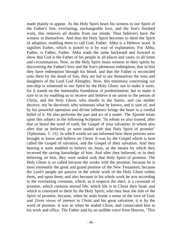made plainly to appear. As the Holy Spirit bears his witness to our Spirit of the Father's free, everlasting, unchangeable love, and the Son's finished work, this removes all doubts from our minds. Thus believers have the witness in themselves. And thus the Holy Spirit becomes to them the Spirit of adoption, enabling them to call God, Father. Abba is a Hebrew word. It signifies Father, which is joined to it by way of explanation. For Abba, Father, is Father, Father. Abba reads the same backward and forward to show that God is the Father of his people in all places and cases, in all times and circumstances. Now, as the Holy Spirit bears witness to their spirits by discovering the Father's love and the Son's plenteous redemption, that in him they have redemption through his blood, and that the Father is reconciled unto them by the death of Son, they are led to see themselves the sons and daughters of the Lord God Almighty. Now, this testimony concerning our son-ship is witnessed to our Spirit by the Holy Ghost: not to make it surer, for it stands on the immutable foundation of predestination; but to make it sure to us by enabling us to receive and believe it on union to the person of Christ, and the Holy Ghost, who dwells in the Saints, and can neither deceive, nor be deceived; who witnesses what he knows, and is sure of, and by his powerful operation and divine influence brings the heart to a cordial belief of it. He also performs the part and act of a sealer. The Apostle treats upon this subject in the following Scripture: "In whom ye also trusted, after that ye heard the word of truth, the Gospel of your salvation: in whom also after that ye believed, ye were sealed with that Holy Spirit of promise" {Ephesians. 1: 13}. In which words we are informed how these persons were brought to know and believe on Christ. It was by the Gospel which is here called the Gospel of salvation, and the Gospel of their salvation. And they bearing it were enabled to believe on Jesus, as the means by which they received the saving knowledge of him. And after they believed, or in their believing on him, they were sealed with that Holy Spirit of promise. The Holy Ghost is so called because the works with the promise; because be is most eminently the great and grand promise of the New Testament; because the Lord's people are passive in the whole work of the Holy Ghost within them, and upon them; and also because in his whole work he acts according to the everlasting covenant, which, as it respects the elect, is a covenant of promise, which contains eternal life, which life is in Christ their bead, and which is conveyed to them by the Holy Spirit; who may bear the title of the Spirit of promise, because, when be seals home a sense of the love of God, and {lives views of interest in Christ and his great salvation, it is by the word of promise. It was so when be sealed Christ, and consecrated him to his work and office. The Father said by an audible voice from Heaven, "This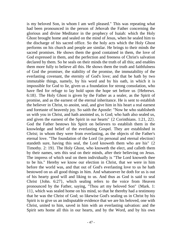is my beloved Son, in whom I am well pleased." This was repeating what had been pronounced in the person of Jehovah the Father concerning the glorious and divine Meditator in the prophecy of Isaiah: which the Holy Ghost brought home and sealed on the mind of Jesus, when he sealed him to the discharge of his sacred office. So the holy acts which the Holy Ghost performs on his church and people are similar. He brings to their minds the sacred promises. He shows them the good contained in them, the love of God expressed in them, and the perfection and freeness of Christ's salvation declared by them. So he seals on their minds the truth of all this; and enables them more fully to believe all this. He shows them the truth and faithfulness of God the promiser, the stability of the promise, the immutability of the everlasting covenant, the eternity of God's love; and that be hath by two immutable things, namely, by his word and by his oath, in which it is impossible for God to lie, given us a foundation for strong consolation, who have fled for refuge to lay hold upon the hope set before us {Hebrews. 6:18}. The Holy Ghost is given by the Father as a sealer, as the Spirit of promise, and as the earnest of the eternal inheritance. He is sent to establish the believer in Christ, to anoint, seal, and give him in his heart a real earnest and foretaste of heavenly joy. So saith the Apostle: "Now he who stablisheth us with you in Christ, and hath anointed us, is God; who hath also sealed us, and given the earnest of the Spirit in our hearts" {2 Corinthians. 1:21, 22}. God the Father bestows his Spirit on believers to establish them in the knowledge and belief of the everlasting Gospel. They are established in Christ; in whom they were from everlasting, as the objects of the Father's eternal love. "The foundation of the Lord {in personal and eternal election} standeth sure, having this seal, the Lord knoweth them who are his" {2 Timothy. 2: 19}. The Holy Ghost, who knoweth the elect, and calleth them by their names, sets this seal on their minds, after their believing on Jesus. The impress of which seal on them individually is "The Lord knoweth thee to be his." Hereby we know our election in Christ, that we were in him before the world was, and that out of God's everlasting love to us he hath bestowed on us all good things in him. And whatsoever he doth for us is out of his hearty good will and liking to us. And thus as God is said to seal Christ {John. 6:27}, which sealing refers to the voice from Heaven pronounced by the Father, saying, "Thou art my beloved Son" {Mark. 1: 11}, which was sealed home on his mind, so that he thereby had a testimony that he was the Christ of God; so likewise God's sealing us in Christ by his Spirit is to give us an indisputable evidence that we are his beloved, one with Christ, united to him, saved in him with an everlasting salvation: and the Spirit sets home all this in our hearts, and by the Word, and by his own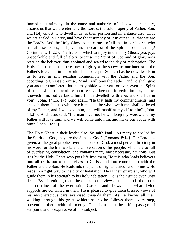immediate testimony, in the name and authority of his own personality, assures us that we are eternally the Lord's, the sole property of Father, Son, and Holy Ghost, who dwell in us, as their portion and inheritance also. Thus we are sealed in Christ, and have the testimony of it in our souls, that we are the Lord's. And the Holy Ghost is the earnest of all this in our hearts, who has also sealed us, and given us the earnest of the Spirit in our hearts {2} Corinthians. 1: 22}. The fruits of which are, joy in the Holy Ghost; yea, joys unspeakable and full of glory; because the Spirit of God and of glory now rests on the believer, thus anointed and sealed to the day of redemption. The Holy Ghost becomes the earnest of glory as he shows us our interest in the Father's love, and in the work of his co-equal Son, and as he now dwells in us to lead us into peculiar communion with the Father and the Son, according to Christ's promise. "And I will pray the Father, and he shall give you another comforter, that he may abide with you for ever, even the Spirit of truth; whom the world cannot receive, because it seeth him not, neither knoweth him: but ye know him; for be dwelleth with you, and shall be in you" {John. 14:16, 17}. And again, "He that hath my commandments, and keepeth them, he it is who loveth me, and be who loveth me, shall be loved of my Father, and I will love him, and will manifest myself to him" {John. 14:21}. And Jesus said, "If a man love me, he will keep my words; and my Father will love him, and we will come unto him, and make our abode with him" {John. 16:23}.

The Holy Ghost is their leader also. So saith Paul. "As many as are led by the Spirit of. God, they are the Sons of God" {Romans. 8:14}. Our Lord has given, as the great prophet over the house of God, a most perfect directory in his word for the life, work, and conversation of his people, which s also full of everlasting consolation, and contains many most necessary cautions. But it is by the Holy Ghost who puts life into them, He it is who leads believers into all truth, out of themselves to Christ, and into communion with the Father and the Son. He leads into the paths of righteousness and holiness. He leads in a right way to the city of habitation. He is their guardian, who will guide them in his strength to his holy habitation. He is their guide even unto death. By his guiding them, he opens to the view of their minds the truths and doctrines of the everlasting Gospel; and shows them what divine supports are contained in them. He is pleased to give them blessed views of his most gracious care exercised towards them. As he knows all their walking through this great wilderness; so he follows them every step, preventing them with his mercy. This is a most beautiful passage of scripture, and is expressive of this subject: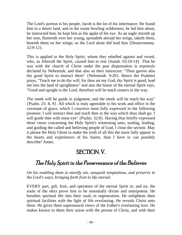The Lord's portion is his people, Jacob is the lot of his inheritance. He found him in a desert land, and in the waste howling wilderness; he led him about, be instructed him, he kept him as the apple of his eye. As an eagle stirreth up her nest, fluttereth over her young, spreadeth abroad her wings, taketh them, beareth them on her wings; so the Lord alone did lead him {Deuteronomy. 32:9-12}.

This is applied to the Holy Spirit, whom they rebelled against and vexed, who, as Jehovah the Spirit, caused him to rest {Isaiah. 63:10-14}. That be was with the church of Christ under the past dispensation is expressly declared by Nehemiah, and that also as their instructor: "Thou gavest also thy good Spirit to instruct them" {Nehemiah. 9:20}. Hence the Psalmist prays, "Teach me to do thy will; for thou art my God; thy Spirit is good, lead me into the land of uprightness" and also the honor of the eternal Spirit says, "Good and upright is the Lord, therefore will be teach sinners in the way.

The meek will be guide in judgment; and the meek will be teach his way" {Psalm. 25: 8, 9}. All which is truly agreeable to his work and office in the covenant of grace, which I conceive most fully expressed in the following promise: I will instruct thee and teach thee in the way which thou shalt go: I will guide thee with mine eye" {Psalm. 32:8}. Having thus briefly expressed these views concerning the Holy Spirit's witnessing unto, sealing, leading, and guiding the called and believing people of God, I close the section. May it please the Holy Ghost to make the truth of all this the more fully appear in the hearts and experiences of his Saints, than I have or can possibly describe! Amen.

#### SECTION. V.

#### The Holy Spirit in the Perseverance of the Believer

*On his enabling them to mortify sin, vanquish temptations, and preserve in the Lord's ways, bringing forth fruit to life eternal.*

EVERY part, gift, fruit, and operation of the eternal Spirit in, and on, the souls of the elect prove him to be essentially divine and omnipotent. He breathes spiritual life into their souls in regeneration. He enlightens their spiritual facilities with the light of life everlasting. He reveals Christ unto them. He gives them supernatural views of the Father's everlasting love. He makes known to them their union with the person of Christ, and with their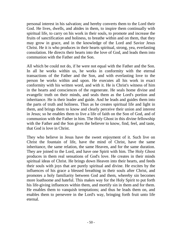personal interest in his salvation; and hereby converts them to the Lord their God. He lives, dwells, and abides in them, to inspire them continually with spiritual life, to carry on his work in their souls, to promote and increase the fruits of sanctification and holiness, to breathe within and on them, that they may grow in grace, and in the knowledge of the Lord and Savior Jesus Christ. He it is who produces in their hearts spiritual, strong, yea, everlasting consolation. He directs their hearts into the love of God, and leads them into communion with the Father and the Son.

All which be could not do, if he were not equal with the Father and the Son. In all he works within us, he works in conformity with the eternal transactions of the Father and the Son, and with everlasting love to the person be works within and upon. He executes all his work in exact conformity with his written word, and with it. He is Christ's witness of him in the hearts and consciences of the regenerate. He seals home divine and evangelic truth on their minds, and seals them as the Lord's portion and inheritance. He is their leader and guide. And he leads and guides them into the parts of truth and holiness. Thus as he creates spiritual life and light in them, and brings them to know and clearly perceive their union and interest in Jesus; so he enables them to live a life of faith on the Son of God, and of communion with the Father in him. The Holy Ghost in this divine fellowship with the Father and the Son gives the believer to know, find, feel, and taste, that God is love in Christ.

They who believe in Jesus have the sweet enjoyment of it. Such live on Christ the fountain of life, have the mind of Christ, have the same inheritance, the same relation, the same Heaven, and for the same duration. They are joined to the Lord, and have one Spirit with him. The Holy Ghost produces in them real sensations of God's love. He creates in their minds spiritual ideas of Christ. He brings down Heaven into their hearts, and feeds their souls with joys that are purely spiritual and divine. He excites by the influences of his grace a blessed breathing in their souls after Christ, and promotes a holy familiarity between God and them, whereby sin becomes more loathsome and hateful. This makes way for the Holy Spirit to put forth his life-giving influences within them, and mortify sin in them and for them. He enables them to vanquish temptations; and thus he leads them on, and enables them to persevere in the Lord's way, bringing forth fruit unto life eternal.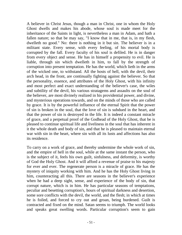A believer in Christ Jesus, though a man in Christ, one in whom the Holy Ghost dwells and makes his abode, whose soul is made meet for the inheritance of the Saints in light, is nevertheless a man in Adam, and hath a fallen nature; so that be may say, "I know that in me, that is, in my flesh, dwelleth no good." No: there is nothing in it but sin. The believer is in a militant state. Every sense, with every feeling, of his mortal body is corrupted by the fall. Every faculty of his soul is defiled. He is in danger from every object and sense. He has in himself a propensity to evil. He is liable, through sin which dwelleth in him, to fall by the strength of corruption into present temptation. He has the world, which lieth in the arms of the wicked one, to withstand. All the hosts of hell, with the devil, their arch head, in the front, are continually fighting against the believer. So that the personality, essence, and attributes of the Holy Ghost, with his infinity and most perfect and exact understanding of the believer's case, the wiles and subtility of the devil, his various stratagems and assaults on the soul of the believer, are most divinely realized in his providential power, and divine, and mysterious operations towards, and on the minds of those who are called by grace. It is by the powerful influence of the eternal Spirit that the power of sin is broken in the soul, that the love of sin is subdued in the heart, and that the power of sin is destroyed in the life. It is indeed a constant miracle of grace, and a perpetual proof of the Godhead of the Holy Ghost, that be is pleased to continue spiritual life and liveliness in the soul that has inherent in it the whole death and body of sin, and that he is pleased to maintain eternal war with sin in the heart, where sin with all its lusts and affections has also its residence.

To carry on a work of grace, and thereby undermine the whole work of sin, and the empire of hell in the soul, while at the same instant the person, who is the subject of it, feels his own guilt, sinfulness, and deformity, is worthy of God the Holy Ghost. And it will afford a revenue of praise to his majesty for ever and ever. The regenerate person is a miracle of grace. He has the mystery of iniquity working with him. And he has the Holy Ghost living in him, counteracting all this. There are seasons in the believer's experience when he had a deep sight, sense, and experience of the body of sin, that corrupt nature, which is in him. He has particular seasons of temptations, peculiar and besetting corruption's, hours of spiritual darkness and desertion, some sore conflicts with the devil, the world, and the flesh; in which at times he is foiled, and forced to cry out and groan, being burdened. Guilt is contracted and fixed on the mind. Satan seems to triumph. The world looks and speaks great swelling words. Particular corruption's seem to gain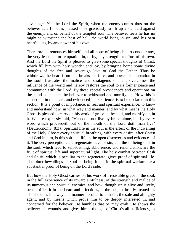advantage. Yet the Lord the Spirit, when the enemy comes thus on the believer as a flood, is pleased most graciously to lift up a standard against the enemy, and on behalf of the tempted soul. The believer feels he has no might to withstand the host of hell, the world lying in sin, and his own heart's lusts, by any power of his own.

Therefore he renounces himself, and all hope of being able to conquer any, the very least sin, or temptation in, or by, any strength or effort of his own. And the Lord the Spirit is pleased to give some special thoughts of Christ, which fill him with holy wonder and joy, by bringing home some divine thoughts of the free and sovereign love of God the Father. Thus be withdraws the heart from sin, breaks the force and power of temptation in the soul, frustrates the malice and stratagems of hell, overcomes the influence of the world and hereby restores the soul to its former peace and communion with the Lord. By these special providence's and operations on the mind he enables the believer to withstand and mortify sin. How this is carried on in the heart, and evidenced in experience, is to be declared in this section. It is a point of importance, in real and spiritual experience, to know and understand how, in what way and manner, and by what means the Holy Ghost is pleased to carry on his work of grace in the soul, and mortify sin in it. We are expressly told, "Man doth not live by bread alone, but by every word which proceedeth out of the mouth of the Lord doth man live" {Deuteronomy. 8:3}. Spiritual life in the soul is the effect of the indwelling of the Holy Ghost: every spiritual breathing, with every desire, after Christ and God in him, is this spiritual life in the open discoveries and evidences of it. The very perceptions the regenerate have of sin, and the in-being of it in the soul, which lead to self-loathing, abhorrence, and renunciation, are the fruit of spiritual life and supernatural light. The holy combat between flesh and Spirit, which is peculiar to the regenerate, gives proof of spiritual life. The bitter bewailings of Soul on being foiled in the spiritual warfare are a substantial proof of being on the Lord's side.

But how the Holy Ghost carries on his work of irresistible grace in the soul, in the full experience of its inward sinfulness, of the strength and malice of its numerous and spiritual enemies, and how, though sin is alive and lively, be mortifies it in the heart and affections, is the subject briefly treated of. This he does in a way and manner peculiar to himself, the sole and almighty agent, and by means which prove him to be deeply interested in, and concerned for the believer. He humbles that be may exalt. He shows the believer his wounds, and gives him a thought of Christ's all-sufficiency, as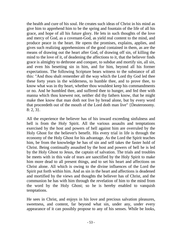the health and cure of his soul. He creates such ideas of Christ in his mind as give him to apprehend him to be the spring and fountain of the life of all his grace, and hope of all his future glory. He lets in such thoughts of the love and mercy of God, as a covenant-God, as yield real content to the mind, and produce peace in the heart. He opens the promises, explains, applies, and gives such realizing apprehensions of the good contained in them, as are the means of drawing out the heart after God, of drawing off sin, of killing the mind to the love of it, of deadening the affections to it, that the believer finds grace is almighty to dethrone and conquer, to subdue and mortify sin, all sin, and even his besetting sin in him, and for him, beyond all his former expectations. The following Scripture bears witness to the substance of all this: "And thou shalt remember all the way which the Lord thy God led thee these forty years in the wilderness, to humble thee, and to prove thee, to know what was in thy heart, whether thou wouldest keep his commandments or no. And he humbled thee, and suffered thee to hunger, and fed thee with manna which thou knewest not, neither did thy fathers know, that he might make thee know that man doth not live by bread alone, but by every word that proceedeth out of the mouth of the Lord doth man live" {Deuteronomy. 8: 2, 3}.

All the experience the believer has of his inward exceeding sinfulness and hell is from the Holy Spirit. All the various assaults and temptations exercised by the host and powers of hell against him are overruled by the Holy Ghost for the believer's benefit. His every trial in life is through the economy of the Holy Ghost for his advantage. As the Lord the Spirit teaches him, be from the knowledge he has of sin and self takes the faster hold of Christ. Being continually assaulted by the host and powers of hell he is led by the Holy Ghost to Jesus, the captain of salvation. The trials and troubles be meets with in this vale of tears are sanctified by the Holy Spirit to make him more dead to all present things, and to set his heart and affections on Christ alone. All which is owing to the divine influences of the Lord the Spirit put forth within him. And as sin in the heart and affections is deadened and mortified by the views and thoughts the believer has of Christ, and the communion he has with him through the revelation of him to the mind from the word by the Holy Ghost; so he is hereby enabled to vanquish temptations.

He sees in Christ, and enjoys in his love and precious salvation pleasures, sweetness, and content, far beyond what sin, under any, under every appearance of it can possibly propose to any of his senses. While be looks,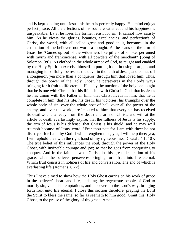and is kept looking unto Jesus, his heart is perfectly happy. His mind enjoys perfect peace. All the affections of his soul are satisfied, and his happiness is unspeakable. By it he loses his former relish for sin. It cannot now satisfy him. As he views the glories, beauties, excellencies, and perfection's of Christ, the world, with all called great and good in it, becomes, in the estimation of the believer, not worth a thought. As he leans on the arm of Jesus, he "Comes up out of the wilderness like pillars of smoke, perfumed with myrrh and frankincense, with all powders of the merchant" {Song of Solomon. 3:6}. As clothed in the whole armor of God, as taught and enabled by the Holy Spirit to exercise himself in putting it on, in using it aright, and managing it skillfully, be resists the devil in the faith of Jesus, and comes off a conqueror, yea more than a conqueror, through him that loved him. Thus, through the power of the Holy Ghost, he perseveres in the Lord's ways bringing forth fruit to life eternal. He is by the unction of the holy one taught that he is one with Christ, that his life is hid with Christ in God, that by Jesus he has union with the Father in him, that Christ liveth in him, that he is complete in him; that his life, his death, his victories, his triumphs over the whole body of sin, over the whole host of hell, over all the power of the enemy, and over the world, are imputed to him: that every sin has received its deathwound already from the death and arm of Christ, and will at the article of death everlastingly expire; that the fullness of Jesus is his supply, the arm of Jesus is his defense, that Christ is his shield, and he may well triumph because of Jesus' word, "Fear thou not; for I am with thee: be not dismayed for I am thy God: I will strengthen thee; yea, I will help thee; yea, I will uphold thee with the right hand of my righteousness" {Isaiah. 4 1: 10}. The true belief of this influences the soul, through the power of the Holy Ghost, with invincible courage and joy; so that be goes from conquering to conquer. And in the faith of what Christ, in this great declaration of his grace, saith, the believer perseveres bringing forth fruit into life eternal. Which fruit consists in holiness of life and conversation. The end of which is everlasting life {Romans. 6:22}.

Thus I have aimed to show how the Holy Ghost carries on his work of grace in the believer's heart and life, enabling the regenerate people of God to mortify sin, vanquish temptations, and persevere in the Lord's way, bringing forth fruit unto life eternal. I close this section therefore, praying the Lord the Spirit to bless the same, so far as seemeth to him good. Grant this, Holy Ghost, to the praise of the glory of thy grace. Amen.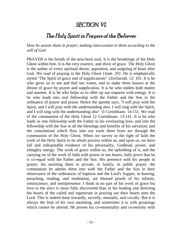#### SECTION. VI.

#### The Holy Spirit in Prayers of the Believer

*How he assists them in prayer, making intercession in them according to the will of God.*

PRAYER is the breath of the new-born soul. It is the breathings of the Holy Ghost within him. It is the very essence, and elixir of grace. The Holy Ghost is the author of every spiritual desire, aspiration, and outgoing of heart after God. We read of praying in the Holy Ghost {Jude. 20}. He is emphatically styled "The Spirit of grace and of supplications" {Zechariah. 12: 10}. It is he who gives us to see and feel our wants, and to make them known at the throne of grace by prayer and supplication. It is he who indites both matter and manner. It is he who helps us to offer up our requests with energy. It is be who leads into real fellowship with the Father and the Son in the ordinance of prayer and praise. Hence the apostle says, "I will pray with the Spirit, and I will pray with the understanding also. I will sing with the Spirit, and I will sing with the understanding also" {I Corinthians. 14:15}. We read of the communion of the Holy Ghost {2 Corinthians. 13:14}. It is he who leads us into fellowship with the Father in his everlasting love, and into the fellowship with the Son in all the blessings and benefits of his salvation; and the consolations which flow into our souls there from are through the communion of the Holy Ghost. When we survey in the light of faith the work of the Holy Spirit in its whole process within us, and upon us, we have fall and indisputable evidence of his personality, Godhead, power, and almighty energy. The work of grace within us, the upholding of it, and the carrying on of the work of faith with power in our hearts, fully prove that he is co-equal with the Father and the Son. His presence with his people in prayer, his assisting them in private, in family, in public prayer, the communion he admits them into with the Father and the Son in their observance of the ordinances of baptism and the Lord's Supper, in bearing, preaching, reading, and meditation, are blessed proofs of his infinity, omniscience, and omnipresence. I think in no part of his work of grace his love to the elect is more fully discovered than in his leading and directing the hearts of the called and regenerate in pouring out their hearts unto the Lord. This is indeed done inwardly, secretly, mentally, and vocally. But it is always the fruit of his own anointing, and sometimes it is with groanings which cannot be uttered. He proves his co-essentiality and co-eternity with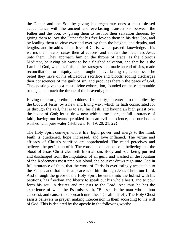the Father and the Son by giving his regenerate ones a most blessed acquaintance with the ancient and everlasting transactions between the Father and the Son, by giving them to rest for their salvation thereon, by giving them to love the Father for his free love to them in his dear Son, and by leading them to view over and over by faith the heights, and depths, and lengths, and breadths of the love of Christ which passeth knowledge. This warms their hearts, raises their affections, and endears the matchless Jesus unto them. They approach him on the throne of grace, as the glorious Mediator, believing his work to be a finished salvation, and that he is the Lamb of God, who has finished the transgression, made an end of sins, made reconciliation for iniquity, and brought in everlasting righteousness. The belief they have of his efficacious sacrifice and bloodshedding discharges their consciences of the guilt of sin, and produces therein the peace of God. The apostle gives us a most divine exhortation, founded on these immutable truths, to approach the throne of the heavenly grace:

Having therefore, brethren, boldness {or liberty} to enter into the holiest by the blood of Jesus, by a new and living way, which he hath consecrated for us through the veil, that is to say, his flesh; and having an high priest over the house of God; let us draw near with a true heart, in full assurance of faith, having our hearts sprinkled from an evil conscience, and our bodies washed with pure water {Hebrews. 10: 19, 20, 21, 22}.

The Holy Spirit conveys with it life, light, power, and energy to the mind. Faith is quickened, hope increased, and love inflamed. The virtue and efficacy of Christ's sacrifice are apprehended. The mind perceives and believes the perfection of it. The conscience is at peace in believing that the blood of Jesus Christ cleanseth from all sin. Body and soul being purified and discharged from the imputation of all guilt, and washed in the fountain of the Redeemer's most precious blood, the believer draws nigh unto God in full assurance of faith, that the work of Christ is everlastingly acceptable to the Father, and that he is at peace with him through Jesus Christ our Lord. And through the grace of the Holy Spirit he enters into the holiest with his petitions, has freedom and liberty to speak out his whole heart, and to pour forth his soul in desires and requests to the Lord. And thus he has the experience of what the Psalmist saith, "Blessed is the man whom thou choosest, and causest to approach unto thee" {Psalm. 64:4}. The Holy Ghost assists believers in prayer, making intercession in them according to the will of God. This is declared by the apostle in the following words: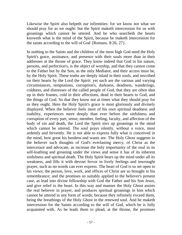Likewise the Spirit also helpeth our infirmities: for we know not what we should pray for as we ought: but the Spirit maketh intercession for us with groanings which cannot be uttered. And be who searcbeth the hearts knoweth what is the mind of the Spirit, because be maketh intercession for the saints according to the will of God {Romans. 8:26, 27}.

In nothing to the Saints and the children of the most high God need the Holy Spirit's grace, assistance, and presence with their souls more than in their addresses at the throne of grace. They know indeed that God in his nature, persons, and perfection's, is the object of worship, and that they cannot come to the Father but by the Son, as the only Mediator, and their access must be, by the Holy Spirit. These truths are deeply inlaid in their souls, and inscribed on their hearts by the Lord the Spirit: yet such are the various and varying circumstances, temptations, corruption's, darkness, deadness, wanderings, coldness, and distresses of the called people of God, that they are often shut up in their frames, cold in their affections, dead in their hearts to God, and the things of God. So that they know not at times what they should pray for as they ought. Here the Holy Spirit's grace is most gloriously and divinely displayed. When the believer feels most of his own spiritual deadness and inability, experiences more deeply than ever before the sinfulness and corruption of every part, sense, member, feeling, faculty, and affection of the body of sin and death, the Lord the Spirit stirs up groanings in the mind which cannot be uttered. The soul prays silently, without a voice, most ardently and fervently. He is not able to express fully what is conceived in the mind, how great his burdens and wants are. The Holy Ghost suggests to the believer such thoughts of God's everlasting mercy, of Christ as the intercessor and advocate, as increase the holy importunity of the soul in its self-loathing and groaning under the views and sense it has of its inherent sinfulness and spiritual death. The Holy Spirit bears up the mind under all its weakness, and fills it with devout fervor in lively feelings and inwrought prayer, such as no words can ever express. The heart of God is so set open to his views; the person, love, work, and offices of Christ are so brought to his remembrance; and the promises so suitably applied to the believer's present case, as lead into divine fellowship with God the Father and his Son Jesus, and give relief to the heart. In this way and manner the Holy Ghost assists the real believer in prayer, and produces spiritual groanings in him which cannot be uttered in any form of words; because they infinitely exceed them, being the breathings of the Holy Ghost in the renewed soul. And he maketh intercession for the Saints according to the will of God, which be is fully acquainted with. As be leads them to plead, at the throne, the promises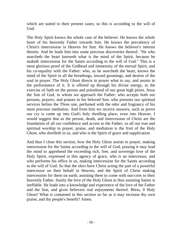which are suited to their present cases; so this is according to the will of God.

The Holy Spirit knows the whole case of the believer. He knows the whole heart of his heavenly Father towards him. He knows the prevalency of Christ's intercession in Heaven for him. He knows the believer's interest therein. And be leads him into some precious discoveries thereof. "He who searcheth the heart knoweth what is the mind of the Spirit, because he maketh intercession for the Saints according to the will of God." This is a most glorious proof of the Godhead and immensity of the eternal Spirit, and his co-equality with the Father: who, as he searcheth the heart, knows the mind of the Spirit in all the breathings, inward groanings, and desires of the soul in prayer. The Holy Ghost directs in prayer what to say, and assists in the performance of it. It is offered up through his divine energy, in the exercise of faith on the person and priesthood of our great high priest, Jesus the Son of God, in whom we approach the Father; who accepts both our persons, prayers, and praises in his beloved Son, who presents our spiritual services before the Three one, perfumed with the odor and fragrancy of his most precious mediation. And from him we receive answers, such as prove our cry is come up into God's holy dwelling place, even into Heaven. I would suggest that as the person, death, and intercession of Christ are the foundation of all our confidence and access to the Father; so all our true and spiritual worship in prayer, praise, and mediation is the fruit of the Holy Ghost, who dwelleth in us, and who is the Spirit of grace and supplication.

And thus I close this section, how the Holy Ghost assists in prayer, making intercession for the Saints according to the will of God, praying it may lead the mind to apprehend the exceeding rich, free, and sovereign love of the Holy Spirit, expressed in this agency of grace, who is an intercessor, and who performs his office in us, making intercession for the Saints according to the will of God. So that the elect have Christ acting the part of a powerful intercessor on their behalf in Heaven, and the Spirit of Christ making intercession for them on earth; assisting them to come with out-cries to their heavenly Father. Surely the love of the Holy Ghost in thus assisting Saints is ineffable. He leads into a knowledge and experience of the love of the Father and the Son, and gives believers real enjoyments thereof. Bless, 0 Holy Ghost! What is contained in this section so far as it may increase thy own praise, and thy people's benefit? Amen.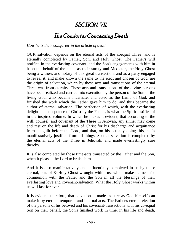#### SECTION. VII.

#### The Comforter Concerning Death

*How he is their comforter in the article of death.*

OUR salvation depends on the eternal acts of the coequal Three, and is eternally completed by Father, Son, and Holy Ghost. The Father's will notified in the everlasting covenant, and the Son's engagements with him in it on the behalf of the elect, as their surety and Mediator, the Holy Ghost being a witness and notary of this great transaction, and as a party engaged to reveal it, and make known the same to the elect and chosen of God, are the origin of salvation, which by these acts and transactions of the eternal Three was from eternity. These acts and transactions of the divine persons have been realized and carried into execution by the person of the Son of the living God, who became incarnate, and acted as the Lamb of God, and finished the work which the Father gave him to do, and thus became the author of eternal salvation. The perfection of which, with the everlasting delight and acceptance of Christ by the Father, is what the Spirit testifies of in the inspired volume. In which he makes it evident, that according to the will, counsel, and covenant of the Three in Jehovah, any sinner may come and rest on the life and death of Christ for his discharge and acquittance from all guilt before the Lord, and that, on his actually doing this, he is manifestatively justified from all things. So that salvation is completed by the eternal acts of the Three in Jehovah, and made everlastingly sure thereby.

It is also completed by those time-acts transacted by the Father and the Son, when it pleased the Lord to bruise him.

And it is also manifestatively and influentially completed in us by those eternal, acts of & Holy Ghost wrought within us, which make us meet for communion with the Father and the Son in all the blessings of their everlasting love and covenant-salvation. What the Holy Ghost works within us will last for ever.

It is evident, therefore, that salvation is made as sure as God himself can make it by eternal, temporal, and internal acts. The Father's eternal election of the persons of his beloved and his covenant-transactions with his co-equal Son on their behalf, the Son's finished work in time, in his life and death,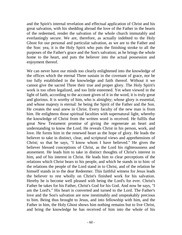and the Spirit's internal revelation and effectual application of Christ and his great salvation, with his shedding abroad the love of the Father in the hearts of the redeemed, render the salvation of the whole church immutably and everlastingly secure. We are, therefore, as actually indebted to the Holy Ghost for our personal and particular salvation, as we are to the Father and the Son: yea, it is the Holy Spirit who puts the finishing stroke to all the purposes of the Father's grace and the Son's salvation; as he brings the whole home to the heart, and puts the believer into the actual possession and enjoyment thereof.

We can never have our minds too clearly enlightened into the knowledge of the offices which the eternal Three sustain in the covenant of grace, nor be too fully established in the knowledge and faith thereof. Without it we cannot give the sacred Three their true and proper glory. The Holy Spirit's work is too often legalized, and too little esteemed. Yet when viewed in the light of faith, according to the account given of it in the word, it is truly great and glorious. It is worthy of him, who is almighty; whose glory is essential, and whose majesty is eternal: he being the Spirit of the Father and the Son. He creates the soul anew in Christ. Every faculty of the new man is from him. He enlightens those spiritual faculties with supernatural light, whereby the knowledge of Christ from the written word is received. He fulfils that great New Testament promise of giving the regenerate an heart and understanding to know the Lord. He reveals Christ in his person, work, and love. He forms him in the renewed heart as the hope of glory. He leads the believer to take in distinct, clear, and scriptural views and apprehensions of Christ; so that be says, "I know whom I have believed." He gives the believer blessed conceptions of Christ, as the Lord his righteousness and atonement. He leads him to take in distinct thoughts of Christ's interest in him, and of his interest in Christ. He leads him to clear perceptions of the relations which Christ bears to his people, and which he stands in to him: of the relations the people of the Lord stand in to Christ, and of the relation he himself stands in to the dear Redeemer. This faithful witness for Jesus leads the believer to rest wholly on Christ's finished work for his salvation. Hereby he is become well pleased with being the Lord's for ever. Christ's Father be takes for his Father, Christ's God for his God. And now be says, "I am the Lord's." His heart is converted and turned to the Lord. The Father's love and the Son's salvation are now inestimably and unspeakably precious to him. Being thus brought to Jesus, and into fellowship with him, and the Father in him, the Holy Ghost shows him nothing remains but to live Christ, and bring the knowledge he has received of him into the whole of his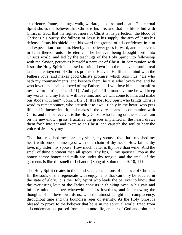experience, frame, feelings, walk, warfare, sickness, and death. The eternal Spirit shows the believer that Christ is his life, and that his life is bid with Christ in God, that the righteousness of Christ is his perfection, the blood of Christ is his purity, the fullness of Jesus is his supply, the arm of Jesus his defense, Jesus his shield, and his word the ground of all confidence in him and expectation from him. Hereby the believer goes forward, and perseveres in faith thereof unto life eternal. The believer being brought forth into Christ's world, and led by the teachings of the Holy Spirit into fellowship with the Savior, perceives himself a partaker of Christ. In communion with Jesus the Holy Spirit is pleased to bring down into the believer's soul a real taste and enjoyment of Christ's promised Heaven. He fills the mind with the Father's love, and makes good Christ's promise, which runs thus: "He who hath my commandments, and keepeth them, he it is who loveth me; and he who loveth me shall be loved of my Father, and I will love him and manifest my love to him" {John. 14:21}. And again, "If a man love me he will keep my words: and my Father will love him, and we will come to him, and make our abode with him" {John. 14: 2 3}. It is the Holy Spirit who brings Christ's word to remembrance, who causeth it to dwell richly in the heart, who puts life and influence into it, and makes it the very means of communion with Christ and the believer. It is the Holy Ghost, who falling on the soul, as rain on the new-mown grass, fructifies the graces implanted in the heart, draws them forth into act and exercise on Christ, and causeth the soul to hear the voice of Jesus saying:

Thou hast ravished my heart, my sister, my spouse; thou hast ravished my heart with one of thine eyes, with one chain of thy neck. How fair is thy love, my sister, my spouse! How much better is thy love than wine! And the smell of thine ointment than all spices. Thy lips, O my spouse! Drop as the honey comb: honey and milk are under thy tongue, and the smell of thy garments is like the smell of Lebanon {Song of Solomon, 4:9, 10, 11}.

The Holy Spirit creates in the mind such conceptions of the love of Christ as fill the souls of the regenerate with enjoyments that can only be equaled in the state of glory. It is the Holy Spirit who leads the believer to know that the everlasting love of the Father consists in thinking over in his vast and infinite mind the love wherewith he has loved us, and in renewing the thoughts of his love towards us, with the utmost delight and complacency, throughout time and the boundless ages of eternity. As the Holy Ghost is pleased to prove to the believer that be is in the spiritual world, freed from all condemnation, passed from death unto life, an heir of God and joint heir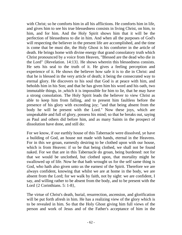with Christ; so he comforts him in all his afflictions. He comforts him in life, and gives him to see his true blessedness consists in living Christ, on him, to him, and for him. And the Holy Spirit shows him that it will be the perfection of blessedness to die in him. And when all the purposes of God's will respecting the believer in the present life are accomplished, and the time is come that be must die, the Holy Ghost is his comforter in the article of death. He brings home with divine energy that grand consolatory truth which Christ pronounced by a voice from Heaven, "Blessed are the dead who die in the Lord" {Revelation. 14:13}. He shows wherein this blessedness consists. He sets his seal to the truth of it. He gives a feeling perception and experience of it. He shows the believer how safe it is to die in Christ: and that he is blessed in the very article of death; it being the consecrated way to eternal glory. He discovers to his soul that God is at peace with him, and beholds him in his Son; and that he has given him his word and his oath, two immutable things, in ,which it is impossible for him to lie, that he may have a strong consolation. The Holy Spirit leads the believer to view Christ as able to keep him from falling, and to present him faultless before the presence of his glory with exceeding joy; "and that being absent from the body he will be present with the Lord." Now these joys, which are unspeakable and full of glory, possess his mind; so that he breaks out, saying as Paul and others did before him, and as many Saints in the prospect of dissolution have done, and still do:

For we know, if our earthly house of this Tabernacle were dissolved, ye have a building of God, an house not made with hands, eternal in the Heavens. For in this we groan, earnestly desiring to be clothed upon with our house, which is from Heaven: if so be that being clothed, we shall not be found naked. For we that are in this Tabernacle do groan, being burdened: not for that we would be unclothed, but clothed upon, that mortality might he swallowed up of life. Now he that bath wrought us for the self same thing is God, who hath also given unto us the earnest of the Spirit. Therefore we are always confident, knowing that whilst we are at home in the body, we are absent from the Lord; for we walk by faith, not by sight: we are confident, I say, and willing rather to be absent from the body, and to be present with the Lord  $\{2$  Corinthians. 5: 1-8,

The virtue of Christ's death, burial, resurrection, ascension, and glorification will be put forth afresh in him. He has a realizing view of the glory which is to be revealed in him. So that the Holy Ghost giving him full views of the person and work of Jesus and of the Father's acceptance of him in the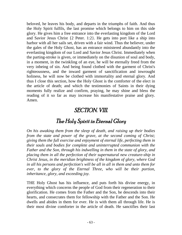beloved, he leaves his body, and departs in the triumphs of faith. And thus the Holy Spirit fulfils, the last promise which belongs to him on this side glory. He gives him a free entrance into the everlasting kingdom of the Lord and Savior Jesus Christ {2 Peter. 1:2}. He gets into port like a ship into harbor with all her sails set, driven with a fair wind. Thus the believer, under the gales of the Holy Ghost, has an entrance ministered abundantly into the everlasting kingdom of our Lord and Savior Jesus Christ. Immediately when the parting-stroke is given, or immediately on the disunion of soul and body, in a moment, in the twinkling of an eye, he will be eternally freed from the very inbeing of sin. And being found clothed with the garment of Christ's righteousness, and the inward garment of sanctification and inwrought holiness, he will now be clothed with immortality and eternal glory. And thus I close this section, how the Holy Ghost is the comforter of the elect in the article of death; and which the testimonies of Saints in their dying moments fully realize and confirm, praying, he may shine and bless the reading of it so far as may increase his manifestative praise and glory. Amen.

#### SECTION. VIII.

#### The Holy Spirit in Eternal Glory

*On his awaking them from the sleep of death, and raising up their bodies from the state and power of the grave, at the second coming of Christ; giving them the full exercise and enjoyment of eternal life, perfecting them in their souls and bodies for complete and uninterrupted communion with the Father and the Son, through his indwelling in them in the state of glory, and placing them in all the perfection of their supernatural new creature-ship in Christ Jesus, in the meridian brightness of the kingdom of glory, where God in all his persons and perfection's will be all in all in them and unto them for ever, to the glory of the Eternal Three, who will be their portion, inheritance, glory, and exceeding joy.*

THE Holy Ghost has his influence, and puts forth his divine energy, in everything which concerns the people of God from their regeneration to their glorification. He comes from the Father and the Son, he descends into their hearts, and consecrates them for fellowship with the Father and the Son. He dwells and abides in them for ever. He is with them all through life. He is their most divine comforter in the article of death. He sanctifies their last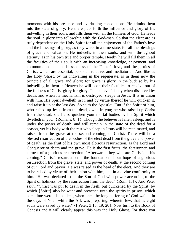moments with his presence and everlasting consolations. He admits them into the state of glory. He there puts forth the influence and glory of his indwelling in their souls, and fills them with all the fullness of God. He leads the soul in glory into fellowship with the God-man. So that the elect are as truly dependent on the Holy Spirit for all the enjoyment of the Father's love and the blessings of glory, as they were, in a time-state, for all the blessings of grace and salvation. He indwells in their souls, and will throughout eternity, as in his own true and proper temple. Hereby he will fill them in all the faculties of their souls with an increasing knowledge, enjoyment, and communion of all the blessedness of the Father's love, and the glories of Christ, which are essential, personal, relative, and mediatorial. And like as the Holy Ghost, by his indwelling in the regenerate, is in them now the principle of all grace and glory; for grace is glory in the bud: so by his indwelling in them in Heaven he will open their faculties to receive out of the fullness of Christ glory for glory. The believer's body when dissolved by death, and when its mechanism is destroyed, sleeps in Jesus. It is in union with him. His Spirit dwelleth in it; and by virtue thereof he will quicken it, and raise it up at the last day. So saith the Apostle: "But if the Spirit of him, who raised up Jesus from the dead, dwell in you; he who raised up Christ from the dead, shall also quicken your mortal bodies by his Spirit which dwelleth in you" {Romans. 8: 1}. Though the believer is fallen asleep, and is under the power of death, and will remain in the state of the dead for a season, yet his body with the rest who sleep in Jesus will be reanimated, and raised from the grave at the second coming, of Christ. There will be a blessed resurrection of the bodies of the elect dead from the grave and power of death, as the fruit of his own most glorious resurrection, as the Lord and Conqueror of death and the grave. He is the first fruits, the forerunner, and earnest of a glorious resurrection. "Afterwards they who are Christ's at his coming." Christ's resurrection is the foundation of our hope of a glorious resurrection from the grave, state, and power of death, at the second coming of our Lord and Savior. He was raised as the head of the elect. And they are to be raised by virtue of their union with him, and in a divine conformity to him. "He was declared to be the Son of God with power according to the Spirit of holiness, by the resurrection from the dead" {Rom. 1:4}. And Peter saith, "Christ was put to death in the flesh, but quickened by the Spirit: by which {Spirit} also he went and preached unto the spirits in prison: which sometime were disobedient, when once the long suffering of God waited in the days of Noah while the Ark was preparing, wherein few, that is, eight souls were saved by water" {I Peter. 3:18, 19, 20}. Now turn to the Book of Genesis and it will clearly appear this was the Holy Ghost. For there you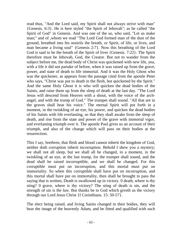read thus, "And the Lord said, my Spirit shall not always strive with man" {Genesis. 6:3}. He is here styled "the Spirit of Jehovah"; as he called "the Spirit of God" in Genesis. And was one of the us, who said, "Let us make man;" and of ,whom we read "The Lord God formed man of the dust of the ground, breathed into his nostrils the breath, or Spirit, of life, or lives, and man became a living soul" {Genesis 2:7}. Now this breathing of the Lord God is said to be the breath of the Spirit of lives {Genesis. 7:22}. The Spirit therefore must be Jehovah, God, the Creator. But not to wander from the subject before me, the dead body of Christ was quickened with new life, yea, with a life it did not partake of before, when it was raised up from the grave, power, and state of death to life immortal. And it was the Holy Ghost who was the quickener, as appears from the passage cited from the apostle Peter who says, "Christ was put to death in the flesh, but quickened by the Spirit." And the same Holy Ghost it is who will quicken the dead bodies of the Saints, and raise them up from the sleep of death at the last day. "The Lord Jesus will descend from Heaven with a shout, with the voice of the archangel, and with the trump of God." The trumpet shall sound. "All that are in the graves shall hear his voice." The eternal Spirit will put forth in a moment, in the twinkling of an eye, his power, and quicken the dead bodies of his Saints with life everlasting, so that they shall awake from the sleep of death, and rise from the state and power of the grave with immortal vigor, and everlasting triumph over it. The apostle Paul gives us an account of their triumph, and also of the change which will pass on their bodies at the resurrection.

This I say, brethren, that flesh and blood cannot inherit the kingdom of God, neither doth corruption inherit incorruption. Behold I shew you a mystery; we shall not all sleep, but we shall all be changed, in a moment, in the twinkling of an eye, at the last trump, for the trumpet shall sound, and the dead shall be raised incorruptible, and we shall be changed. For this corruptible must put on incorruption, and this mortal must put on immortality. So when this corruptible shall have put on incorruption, and this mortal shall have put on immortality, then shall be brought to pass the saying that is written, Death is swallowed up in victory. 0 death, where is thy sting? 0 grave, where is thy victory? The sting of death is sin, and the strength of sin is the law. But thanks be to God which giveth us the victory through our Lord Jesus Christ {I Corinthians. 15: 50-57}.

The elect being raised, and living Saints changed in their bodies, they will bear the image of the heavenly Adam, and be fitted and qualified with such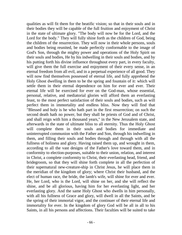qualities as will fit them for the beatific vision; so that in their souls and in their bodies they will be capable of the full fruition and enjoyment of Christ in the state of ultimate glory. "The body will now be for the Lord, and the Lord for the body." They will fully shine forth as the children of God, being the children of the resurrection. They will now in their whole persons, souls and bodies being reunited, be made perfectly conformable to the image of God's Son, through the mighty power and operations of the Holy Spirit on their souls and bodies, He by his indwelling in their souls and bodies, and by his putting forth his divine influence throughout every part, in every faculty, will give them the full exercise and enjoyment of their every sense, in an eternal freedom from all evil, and in a perpetual experience of all good. They will now find themselves possessed of eternal life, and fully apprehend the Holy Ghost dwelling in them to be the spring and fountain of it: which will settle them in their eternal dependence on him for ever and ever. Their eternal life will be exercised for ever on the God-man, whose essential, personal, relative, and mediatorial glories will afford them an everlasting feast, to the most perfect satisfaction of their souls and bodies, such as will perfect them in immortality and endless bliss. Now they will find that "Blessed and holy is he who hath part in the first resurrection; on such the second death hath no power, but they shall be priests of God and of Christ, and shall reign with him a thousand years," in the New Jerusalem state, and afterwards in the state of ultimate bliss to all eternity. Thus the Holy Ghost will complete them in their souls and bodies for immediate and uninterrupted communion with the Father and Son, through his indwelling in them, and filling their souls and bodies through and through with all the fullness of holiness and glory. Having raised them up, and wrought in them, according to all the vast designs of the Father's love toward them, and in conformity to election-purposes, suitable to their union, relation, and interest in Christ, a complete conformity to Christ, their everlasting head, friend, and bridegroom, so that they will shine forth complete in all the perfection of their supernatural new-creature-ship in Christ Jesus, he will place them in the meridian of the kingdom of glory; where Christ their husband, and the elect of human race, the bride, the lamb's wife, will shine for ever and ever. He, her Lord, who is the Lord, will shine on her, and she will reflect the shine, and be all glorious, having him for her everlasting light, and her everlasting glory. And the same Holy Ghost who dwells in him personally, with all his fullness of Grace and glory, will dwell in all the Saints, and be the spring of their immortal vigor, and the continuer of their eternal life and immortality for ever. In the kingdom of glory God will be all in all to his Saints, in all his persons and affections. Their faculties will be suited to take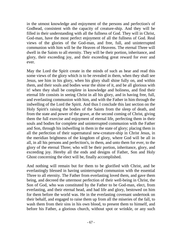in the utmost knowledge and enjoyment of the persons and perfection's of Godhead, consistent with the capacity of creature-ship. And they will be filled in their understanding with all the fullness of God. They will in Christ, God-man, have the most perfect enjoyment of all the fullness of God. Real views of the glories of the God-man, and free, full, and uninterrupted communion with him will be the Heaven of Heavens. The eternal Three will dwell in the Saints to all eternity. They will be their portion, inheritance, and glory, their exceeding joy, and their exceeding great reward for ever and ever.

May the Lord the Spirit create in the minds of such as hear and read this some views of the glory which is to be revealed in them, when they shall see Jesus, see him in his glory, when his glory shall shine fully on, and within them, and their souls and bodies wear the shine of it, and be all glorious with it! when they shall be complete in knowledge and holiness, and find their eternal life consists in seeing Christ in all his glory, and in having free, full, and everlasting communion with him, and with the Father in him through the indwelling of the Lord the Spirit. And thus I conclude this last section on the Holy Spirit's raising the bodies of the Saints from the sleep of death, and from the state and power of the grave, at the second coming of Christ, giving them the full exercise and enjoyment of eternal life, perfecting them in their souls and bodies for complete and uninterrupted communion with the Father and Son, through his indwelling in them in the state of glory; placing them in all the perfection of their supernatural new-creature-ship in Christ Jesus, in the meridian brightness of the kingdom of glory, where God will be all in all, in all his persons and perfection's, in them, and unto them for ever, to the glory of the eternal Three; who will be their portion, inheritance, glory, and exceeding joy. Hereby all the ends and designs of Father, Son and Holy Ghost concerning the elect will be, finally accomplished.

And nothing will remain but for them to be glorified with Christ, and be everlastingly blessed in having uninterrupted communion with the essential Three to all eternity. The Father from everlasting loved them, and gave them being, and decreed the uttermost perfection of their well-being in Christ, the Son of God, who was constituted by the Father to be God-man, elect, from everlasting, and their eternal head, and had life and glory, bestowed on him for them before the world was. He in the everlasting covenant undertook on their behalf, and engaged to raise them up from all the miseries of the fall, to wash them from their sins in his own blood, to present them to himself, and before his Father, a glorious church, without spot or wrinkle, or any such